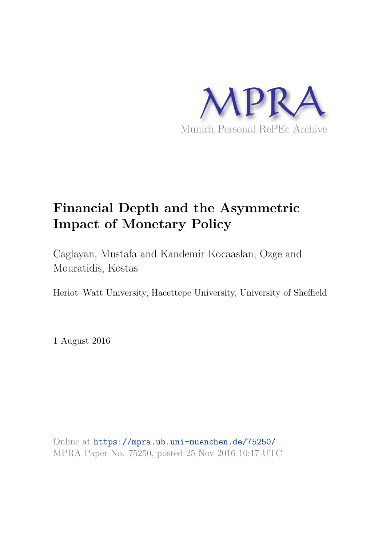

# **Financial Depth and the Asymmetric Impact of Monetary Policy**

Caglayan, Mustafa and Kandemir Kocaaslan, Ozge and Mouratidis, Kostas

Heriot–Watt University, Hacettepe University, University of Sheffield

1 August 2016

Online at https://mpra.ub.uni-muenchen.de/75250/ MPRA Paper No. 75250, posted 25 Nov 2016 10:17 UTC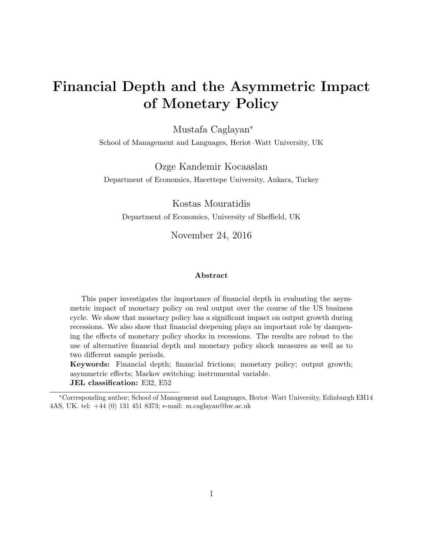# Financial Depth and the Asymmetric Impact of Monetary Policy

Mustafa Caglayan<sup>∗</sup>

School of Management and Languages, Heriot–Watt University, UK

Ozge Kandemir Kocaaslan Department of Economics, Hacettepe University, Ankara, Turkey

Kostas Mouratidis Department of Economics, University of Sheffield, UK

November 24, 2016

#### Abstract

This paper investigates the importance of financial depth in evaluating the asymmetric impact of monetary policy on real output over the course of the US business cycle. We show that monetary policy has a significant impact on output growth during recessions. We also show that financial deepening plays an important role by dampening the effects of monetary policy shocks in recessions. The results are robust to the use of alternative financial depth and monetary policy shock measures as well as to two different sample periods.

Keywords: Financial depth; financial frictions; monetary policy; output growth; asymmetric effects; Markov switching; instrumental variable. JEL classification: E32, E52

<sup>∗</sup>Corresponding author; School of Management and Languages, Heriot–Watt University, Edinburgh EH14 4AS, UK. tel: +44 (0) 131 451 8373; e-mail: m.caglayan@hw.ac.uk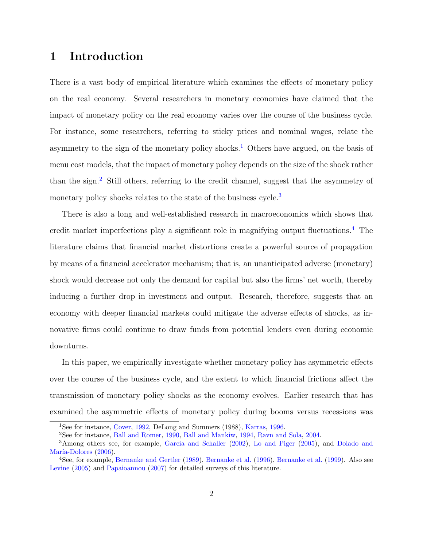# 1 Introduction

There is a vast body of empirical literature which examines the effects of monetary policy on the real economy. Several researchers in monetary economics have claimed that the impact of monetary policy on the real economy varies over the course of the business cycle. For instance, some researchers, referring to sticky prices and nominal wages, relate the asymmetry to the sign of the monetary policy shocks.<sup>1</sup> Others have argued, on the basis of menu cost models, that the impact of monetary policy depends on the size of the shock rather than the sign.<sup>2</sup> Still others, referring to the credit channel, suggest that the asymmetry of monetary policy shocks relates to the state of the business cycle.<sup>3</sup>

There is also a long and well-established research in macroeconomics which shows that credit market imperfections play a significant role in magnifying output fluctuations.<sup>4</sup> The literature claims that financial market distortions create a powerful source of propagation by means of a financial accelerator mechanism; that is, an unanticipated adverse (monetary) shock would decrease not only the demand for capital but also the firms' net worth, thereby inducing a further drop in investment and output. Research, therefore, suggests that an economy with deeper financial markets could mitigate the adverse effects of shocks, as innovative firms could continue to draw funds from potential lenders even during economic downturns.

In this paper, we empirically investigate whether monetary policy has asymmetric effects over the course of the business cycle, and the extent to which financial frictions affect the transmission of monetary policy shocks as the economy evolves. Earlier research that has examined the asymmetric effects of monetary policy during booms versus recessions was

<sup>1</sup>See for instance, Cover, 1992, DeLong and Summers (1988), Karras, 1996.

<sup>2</sup>See for instance, Ball and Romer, 1990, Ball and Mankiw, 1994, Ravn and Sola, 2004.

<sup>3</sup>Among others see, for example, Garcia and Schaller (2002), Lo and Piger (2005), and Dolado and María-Dolores (2006).

<sup>4</sup>See, for example, Bernanke and Gertler (1989), Bernanke et al. (1996), Bernanke et al. (1999). Also see Levine (2005) and Papaioannou (2007) for detailed surveys of this literature.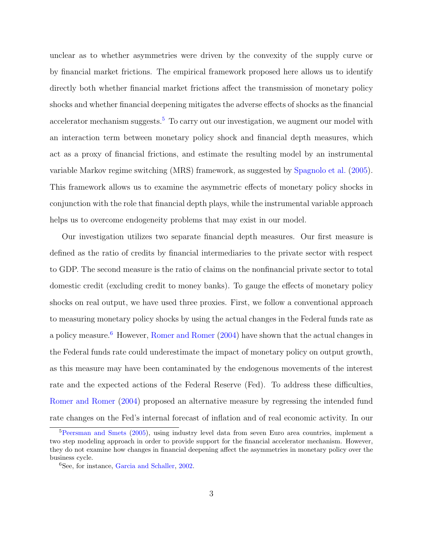unclear as to whether asymmetries were driven by the convexity of the supply curve or by financial market frictions. The empirical framework proposed here allows us to identify directly both whether financial market frictions affect the transmission of monetary policy shocks and whether financial deepening mitigates the adverse effects of shocks as the financial accelerator mechanism suggests.<sup>5</sup> To carry out our investigation, we augment our model with an interaction term between monetary policy shock and financial depth measures, which act as a proxy of financial frictions, and estimate the resulting model by an instrumental variable Markov regime switching (MRS) framework, as suggested by Spagnolo et al. (2005). This framework allows us to examine the asymmetric effects of monetary policy shocks in conjunction with the role that financial depth plays, while the instrumental variable approach helps us to overcome endogeneity problems that may exist in our model.

Our investigation utilizes two separate financial depth measures. Our first measure is defined as the ratio of credits by financial intermediaries to the private sector with respect to GDP. The second measure is the ratio of claims on the nonfinancial private sector to total domestic credit (excluding credit to money banks). To gauge the effects of monetary policy shocks on real output, we have used three proxies. First, we follow a conventional approach to measuring monetary policy shocks by using the actual changes in the Federal funds rate as a policy measure.<sup>6</sup> However, Romer and Romer (2004) have shown that the actual changes in the Federal funds rate could underestimate the impact of monetary policy on output growth, as this measure may have been contaminated by the endogenous movements of the interest rate and the expected actions of the Federal Reserve (Fed). To address these difficulties, Romer and Romer (2004) proposed an alternative measure by regressing the intended fund rate changes on the Fed's internal forecast of inflation and of real economic activity. In our

<sup>5</sup>Peersman and Smets (2005), using industry level data from seven Euro area countries, implement a two step modeling approach in order to provide support for the financial accelerator mechanism. However, they do not examine how changes in financial deepening affect the asymmetries in monetary policy over the business cycle.

<sup>6</sup>See, for instance, Garcia and Schaller, 2002.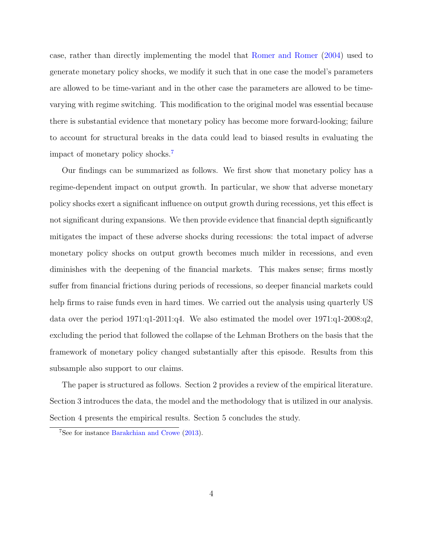case, rather than directly implementing the model that Romer and Romer (2004) used to generate monetary policy shocks, we modify it such that in one case the model's parameters are allowed to be time-variant and in the other case the parameters are allowed to be timevarying with regime switching. This modification to the original model was essential because there is substantial evidence that monetary policy has become more forward-looking; failure to account for structural breaks in the data could lead to biased results in evaluating the impact of monetary policy shocks.<sup>7</sup>

Our findings can be summarized as follows. We first show that monetary policy has a regime-dependent impact on output growth. In particular, we show that adverse monetary policy shocks exert a significant influence on output growth during recessions, yet this effect is not significant during expansions. We then provide evidence that financial depth significantly mitigates the impact of these adverse shocks during recessions: the total impact of adverse monetary policy shocks on output growth becomes much milder in recessions, and even diminishes with the deepening of the financial markets. This makes sense; firms mostly suffer from financial frictions during periods of recessions, so deeper financial markets could help firms to raise funds even in hard times. We carried out the analysis using quarterly US data over the period 1971:q1-2011:q4. We also estimated the model over 1971:q1-2008:q2, excluding the period that followed the collapse of the Lehman Brothers on the basis that the framework of monetary policy changed substantially after this episode. Results from this subsample also support to our claims.

The paper is structured as follows. Section 2 provides a review of the empirical literature. Section 3 introduces the data, the model and the methodology that is utilized in our analysis. Section 4 presents the empirical results. Section 5 concludes the study.

<sup>7</sup>See for instance Barakchian and Crowe (2013).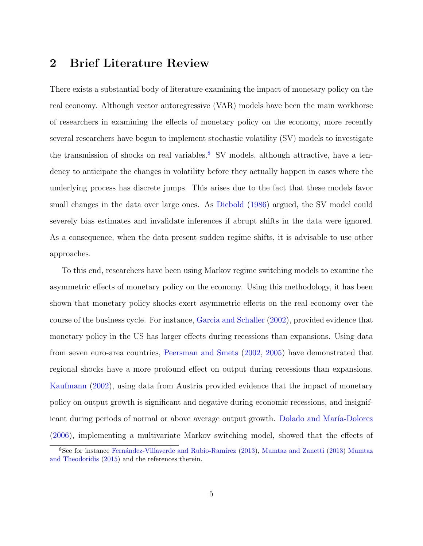# 2 Brief Literature Review

There exists a substantial body of literature examining the impact of monetary policy on the real economy. Although vector autoregressive (VAR) models have been the main workhorse of researchers in examining the effects of monetary policy on the economy, more recently several researchers have begun to implement stochastic volatility (SV) models to investigate the transmission of shocks on real variables.<sup>8</sup> SV models, although attractive, have a tendency to anticipate the changes in volatility before they actually happen in cases where the underlying process has discrete jumps. This arises due to the fact that these models favor small changes in the data over large ones. As Diebold  $(1986)$  argued, the SV model could severely bias estimates and invalidate inferences if abrupt shifts in the data were ignored. As a consequence, when the data present sudden regime shifts, it is advisable to use other approaches.

To this end, researchers have been using Markov regime switching models to examine the asymmetric effects of monetary policy on the economy. Using this methodology, it has been shown that monetary policy shocks exert asymmetric effects on the real economy over the course of the business cycle. For instance, Garcia and Schaller (2002), provided evidence that monetary policy in the US has larger effects during recessions than expansions. Using data from seven euro-area countries, Peersman and Smets (2002, 2005) have demonstrated that regional shocks have a more profound effect on output during recessions than expansions. Kaufmann (2002), using data from Austria provided evidence that the impact of monetary policy on output growth is significant and negative during economic recessions, and insignificant during periods of normal or above average output growth. Dolado and María-Dolores (2006), implementing a multivariate Markov switching model, showed that the effects of

<sup>&</sup>lt;sup>8</sup>See for instance Fernández-Villaverde and Rubio-Ramírez (2013), Mumtaz and Zanetti (2013) Mumtaz and Theodoridis (2015) and the references therein.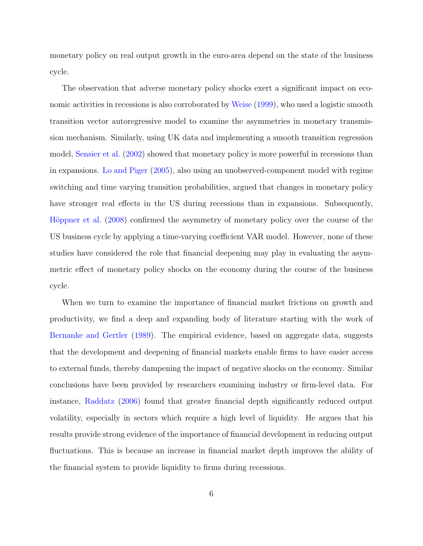monetary policy on real output growth in the euro-area depend on the state of the business cycle.

The observation that adverse monetary policy shocks exert a significant impact on economic activities in recessions is also corroborated by Weise (1999), who used a logistic smooth transition vector autoregressive model to examine the asymmetries in monetary transmission mechanism. Similarly, using UK data and implementing a smooth transition regression model, Sensier et al. (2002) showed that monetary policy is more powerful in recessions than in expansions. Lo and Piger (2005), also using an unobserved-component model with regime switching and time varying transition probabilities, argued that changes in monetary policy have stronger real effects in the US during recessions than in expansions. Subsequently, Höppner et al. (2008) confirmed the asymmetry of monetary policy over the course of the US business cycle by applying a time-varying coefficient VAR model. However, none of these studies have considered the role that financial deepening may play in evaluating the asymmetric effect of monetary policy shocks on the economy during the course of the business cycle.

When we turn to examine the importance of financial market frictions on growth and productivity, we find a deep and expanding body of literature starting with the work of Bernanke and Gertler (1989). The empirical evidence, based on aggregate data, suggests that the development and deepening of financial markets enable firms to have easier access to external funds, thereby dampening the impact of negative shocks on the economy. Similar conclusions have been provided by researchers examining industry or firm-level data. For instance, Raddatz (2006) found that greater financial depth significantly reduced output volatility, especially in sectors which require a high level of liquidity. He argues that his results provide strong evidence of the importance of financial development in reducing output fluctuations. This is because an increase in financial market depth improves the ability of the financial system to provide liquidity to firms during recessions.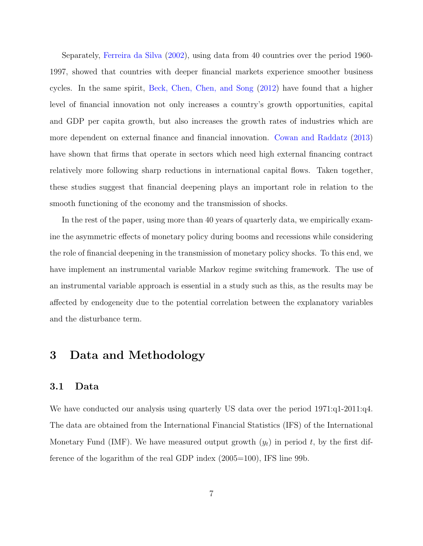Separately, Ferreira da Silva (2002), using data from 40 countries over the period 1960- 1997, showed that countries with deeper financial markets experience smoother business cycles. In the same spirit, Beck, Chen, Chen, and Song (2012) have found that a higher level of financial innovation not only increases a country's growth opportunities, capital and GDP per capita growth, but also increases the growth rates of industries which are more dependent on external finance and financial innovation. Cowan and Raddatz (2013) have shown that firms that operate in sectors which need high external financing contract relatively more following sharp reductions in international capital flows. Taken together, these studies suggest that financial deepening plays an important role in relation to the smooth functioning of the economy and the transmission of shocks.

In the rest of the paper, using more than 40 years of quarterly data, we empirically examine the asymmetric effects of monetary policy during booms and recessions while considering the role of financial deepening in the transmission of monetary policy shocks. To this end, we have implement an instrumental variable Markov regime switching framework. The use of an instrumental variable approach is essential in a study such as this, as the results may be affected by endogeneity due to the potential correlation between the explanatory variables and the disturbance term.

# 3 Data and Methodology

# 3.1 Data

We have conducted our analysis using quarterly US data over the period 1971:q1-2011:q4. The data are obtained from the International Financial Statistics (IFS) of the International Monetary Fund (IMF). We have measured output growth  $(y_t)$  in period t, by the first difference of the logarithm of the real GDP index (2005=100), IFS line 99b.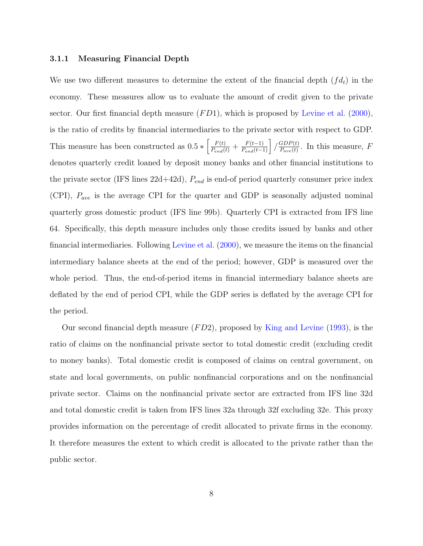#### 3.1.1 Measuring Financial Depth

We use two different measures to determine the extent of the financial depth  $(fd_t)$  in the economy. These measures allow us to evaluate the amount of credit given to the private sector. Our first financial depth measure  $(FD1)$ , which is proposed by Levine et al. (2000), is the ratio of credits by financial intermediaries to the private sector with respect to GDP. This measure has been constructed as  $0.5 * \left[ \frac{F(t)}{P_{end}(t)} + \frac{F(t-1)}{P_{end}(t-1)} \right] / \frac{GDP(t)}{P_{ave}(t)}$  $\frac{GDP(t)}{P_{ave}(t)}$ . In this measure, F denotes quarterly credit loaned by deposit money banks and other financial institutions to the private sector (IFS lines  $22d+42d$ ),  $P_{end}$  is end-of period quarterly consumer price index (CPI),  $P_{ave}$  is the average CPI for the quarter and GDP is seasonally adjusted nominal quarterly gross domestic product (IFS line 99b). Quarterly CPI is extracted from IFS line 64. Specifically, this depth measure includes only those credits issued by banks and other financial intermediaries. Following Levine et al. (2000), we measure the items on the financial intermediary balance sheets at the end of the period; however, GDP is measured over the whole period. Thus, the end-of-period items in financial intermediary balance sheets are deflated by the end of period CPI, while the GDP series is deflated by the average CPI for the period.

Our second financial depth measure  $(FD2)$ , proposed by King and Levine (1993), is the ratio of claims on the nonfinancial private sector to total domestic credit (excluding credit to money banks). Total domestic credit is composed of claims on central government, on state and local governments, on public nonfinancial corporations and on the nonfinancial private sector. Claims on the nonfinancial private sector are extracted from IFS line 32d and total domestic credit is taken from IFS lines 32a through 32f excluding 32e. This proxy provides information on the percentage of credit allocated to private firms in the economy. It therefore measures the extent to which credit is allocated to the private rather than the public sector.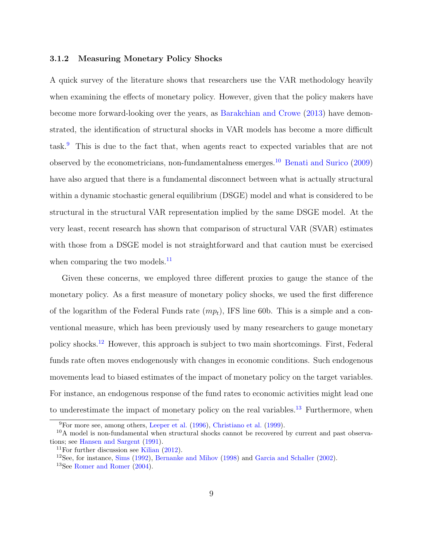### 3.1.2 Measuring Monetary Policy Shocks

A quick survey of the literature shows that researchers use the VAR methodology heavily when examining the effects of monetary policy. However, given that the policy makers have become more forward-looking over the years, as Barakchian and Crowe (2013) have demonstrated, the identification of structural shocks in VAR models has become a more difficult task.<sup>9</sup> This is due to the fact that, when agents react to expected variables that are not observed by the econometricians, non-fundamentalness emerges.<sup>10</sup> Benati and Surico (2009) have also argued that there is a fundamental disconnect between what is actually structural within a dynamic stochastic general equilibrium (DSGE) model and what is considered to be structural in the structural VAR representation implied by the same DSGE model. At the very least, recent research has shown that comparison of structural VAR (SVAR) estimates with those from a DSGE model is not straightforward and that caution must be exercised when comparing the two models.<sup>11</sup>

Given these concerns, we employed three different proxies to gauge the stance of the monetary policy. As a first measure of monetary policy shocks, we used the first difference of the logarithm of the Federal Funds rate  $(mp_t)$ , IFS line 60b. This is a simple and a conventional measure, which has been previously used by many researchers to gauge monetary policy shocks.<sup>12</sup> However, this approach is subject to two main shortcomings. First, Federal funds rate often moves endogenously with changes in economic conditions. Such endogenous movements lead to biased estimates of the impact of monetary policy on the target variables. For instance, an endogenous response of the fund rates to economic activities might lead one to underestimate the impact of monetary policy on the real variables.<sup>13</sup> Furthermore, when

<sup>9</sup>For more see, among others, Leeper et al. (1996), Christiano et al. (1999).

 $10A$  model is non-fundamental when structural shocks cannot be recovered by current and past observations; see Hansen and Sargent (1991).

<sup>&</sup>lt;sup>11</sup>For further discussion see Kilian  $(2012)$ .

<sup>&</sup>lt;sup>12</sup>See, for instance, Sims  $(1992)$ , Bernanke and Mihov  $(1998)$  and Garcia and Schaller  $(2002)$ .

<sup>13</sup>See Romer and Romer (2004).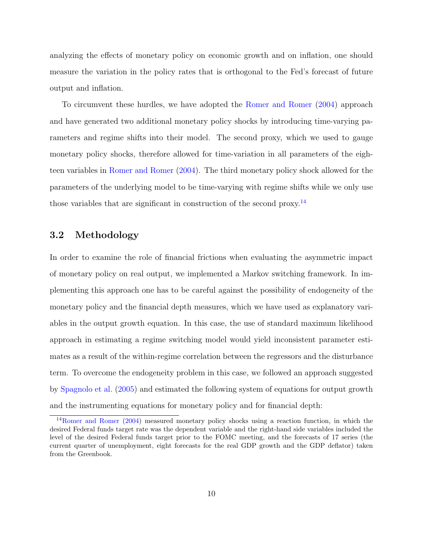analyzing the effects of monetary policy on economic growth and on inflation, one should measure the variation in the policy rates that is orthogonal to the Fed's forecast of future output and inflation.

To circumvent these hurdles, we have adopted the Romer and Romer (2004) approach and have generated two additional monetary policy shocks by introducing time-varying parameters and regime shifts into their model. The second proxy, which we used to gauge monetary policy shocks, therefore allowed for time-variation in all parameters of the eighteen variables in Romer and Romer (2004). The third monetary policy shock allowed for the parameters of the underlying model to be time-varying with regime shifts while we only use those variables that are significant in construction of the second proxy.<sup>14</sup>

## 3.2 Methodology

In order to examine the role of financial frictions when evaluating the asymmetric impact of monetary policy on real output, we implemented a Markov switching framework. In implementing this approach one has to be careful against the possibility of endogeneity of the monetary policy and the financial depth measures, which we have used as explanatory variables in the output growth equation. In this case, the use of standard maximum likelihood approach in estimating a regime switching model would yield inconsistent parameter estimates as a result of the within-regime correlation between the regressors and the disturbance term. To overcome the endogeneity problem in this case, we followed an approach suggested by Spagnolo et al. (2005) and estimated the following system of equations for output growth and the instrumenting equations for monetary policy and for financial depth:

<sup>14</sup>Romer and Romer (2004) measured monetary policy shocks using a reaction function, in which the desired Federal funds target rate was the dependent variable and the right-hand side variables included the level of the desired Federal funds target prior to the FOMC meeting, and the forecasts of 17 series (the current quarter of unemployment, eight forecasts for the real GDP growth and the GDP deflator) taken from the Greenbook.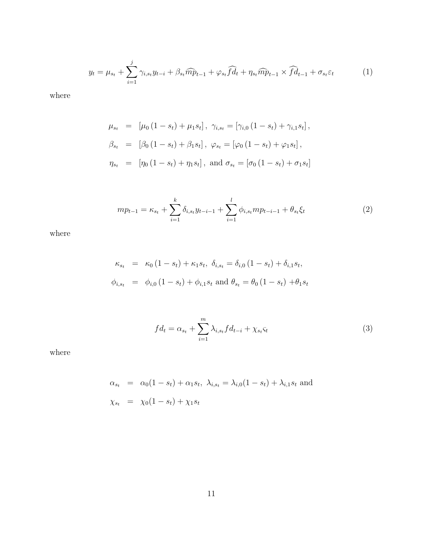$$
y_t = \mu_{s_t} + \sum_{i=1}^j \gamma_{i,s_t} y_{t-i} + \beta_{s_t} \widehat{m} \widehat{p}_{t-1} + \varphi_{s_t} \widehat{fd}_t + \eta_{s_t} \widehat{m} \widehat{p}_{t-1} \times \widehat{fd}_{t-1} + \sigma_{s_t} \varepsilon_t \tag{1}
$$

where

$$
\mu_{s_t} = [\mu_0 (1 - s_t) + \mu_1 s_t], \ \gamma_{i, s_t} = [\gamma_{i, 0} (1 - s_t) + \gamma_{i, 1} s_t],
$$
  
\n
$$
\beta_{s_t} = [\beta_0 (1 - s_t) + \beta_1 s_t], \ \varphi_{s_t} = [\varphi_0 (1 - s_t) + \varphi_1 s_t],
$$
  
\n
$$
\eta_{s_t} = [\eta_0 (1 - s_t) + \eta_1 s_t], \text{ and } \sigma_{s_t} = [\sigma_0 (1 - s_t) + \sigma_1 s_t]
$$

$$
mp_{t-1} = \kappa_{s_t} + \sum_{i=1}^{k} \delta_{i,s_t} y_{t-i-1} + \sum_{i=1}^{l} \phi_{i,s_t} mp_{t-i-1} + \theta_{s_t} \xi_t
$$
 (2)

where

$$
\kappa_{s_t} = \kappa_0 (1 - s_t) + \kappa_1 s_t, \ \delta_{i, s_t} = \delta_{i, 0} (1 - s_t) + \delta_{i, 1} s_t,
$$
  

$$
\phi_{i, s_t} = \phi_{i, 0} (1 - s_t) + \phi_{i, 1} s_t \text{ and } \theta_{s_t} = \theta_0 (1 - s_t) + \theta_1 s_t
$$

$$
fd_t = \alpha_{s_t} + \sum_{i=1}^{m} \lambda_{i,s_t} fd_{t-i} + \chi_{s_t} \zeta_t \tag{3}
$$

where

$$
\alpha_{s_t} = \alpha_0 (1 - s_t) + \alpha_1 s_t, \ \lambda_{i, s_t} = \lambda_{i, 0} (1 - s_t) + \lambda_{i, 1} s_t \text{ and}
$$
\n
$$
\chi_{s_t} = \chi_0 (1 - s_t) + \chi_1 s_t
$$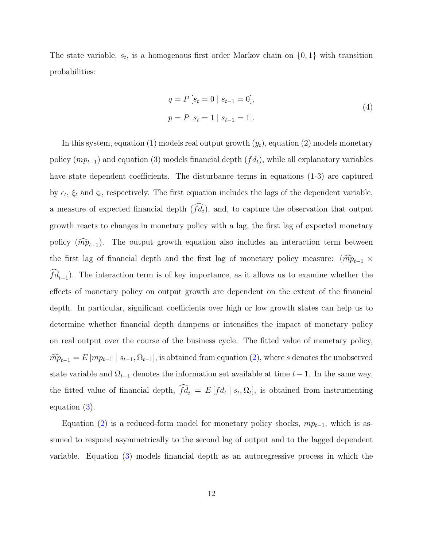The state variable,  $s_t$ , is a homogenous first order Markov chain on  $\{0, 1\}$  with transition probabilities:

$$
q = P [s_t = 0 | s_{t-1} = 0],
$$
  
\n
$$
p = P [s_t = 1 | s_{t-1} = 1].
$$
\n(4)

In this system, equation (1) models real output growth  $(y_t)$ , equation (2) models monetary policy  $(mp_{t-1})$  and equation (3) models financial depth  $(fd_t)$ , while all explanatory variables have state dependent coefficients. The disturbance terms in equations (1-3) are captured by  $\epsilon_t$ ,  $\xi_t$  and  $\varsigma_t$ , respectively. The first equation includes the lags of the dependent variable, a measure of expected financial depth  $(\widehat{fd}_t)$ , and, to capture the observation that output growth reacts to changes in monetary policy with a lag, the first lag of expected monetary policy  $(\widehat{mp}_{t-1})$ . The output growth equation also includes an interaction term between the first lag of financial depth and the first lag of monetary policy measure:  $(\widehat{mp}_{t-1} \times$  $fd_{t-1}$ ). The interaction term is of key importance, as it allows us to examine whether the effects of monetary policy on output growth are dependent on the extent of the financial depth. In particular, significant coefficients over high or low growth states can help us to determine whether financial depth dampens or intensifies the impact of monetary policy on real output over the course of the business cycle. The fitted value of monetary policy,  $m\widehat{p}_{t-1} = E[m p_{t-1} | s_{t-1}, \Omega_{t-1}],$  is obtained from equation (2), where s denotes the unobserved state variable and  $\Omega_{t-1}$  denotes the information set available at time  $t-1$ . In the same way, the fitted value of financial depth,  $fd_t = E[f_d_t | s_t, \Omega_t]$ , is obtained from instrumenting equation (3).

Equation (2) is a reduced-form model for monetary policy shocks,  $mp_{t-1}$ , which is assumed to respond asymmetrically to the second lag of output and to the lagged dependent variable. Equation (3) models financial depth as an autoregressive process in which the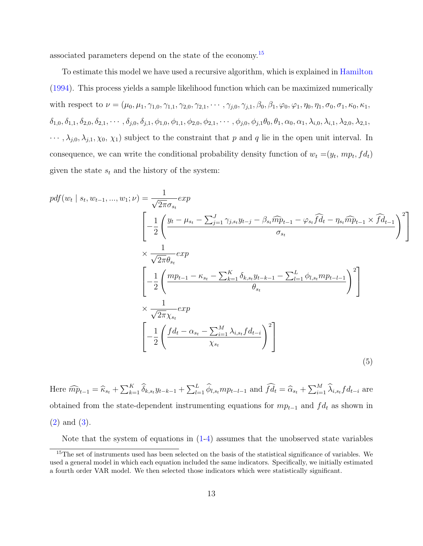associated parameters depend on the state of the economy.<sup>15</sup>

To estimate this model we have used a recursive algorithm, which is explained in Hamilton (1994). This process yields a sample likelihood function which can be maximized numerically with respect to  $\nu = (\mu_0, \mu_1, \gamma_{1,0}, \gamma_{1,1}, \gamma_{2,0}, \gamma_{2,1}, \cdots, \gamma_{j,0}, \gamma_{j,1}, \beta_0, \beta_1, \varphi_0, \varphi_1, \eta_0, \eta_1, \sigma_0, \sigma_1, \kappa_0, \kappa_1, \sigma_1, \sigma_0, \sigma_1, \sigma_0, \sigma_1, \sigma_0, \sigma_1, \sigma_0, \sigma_1, \sigma_0, \sigma_1, \sigma_0, \sigma_1, \sigma_0, \sigma_1, \sigma_0, \sigma_1, \sigma_0, \$  $\delta_{1,0}, \delta_{1,1}, \delta_{2,0}, \delta_{2,1}, \cdots, \delta_{j,0}, \delta_{j,1}, \phi_{1,0}, \phi_{1,1}, \phi_{2,0}, \phi_{2,1}, \cdots, \phi_{j,0}, \phi_{j,1}\theta_0, \theta_1, \alpha_0, \alpha_1, \lambda_{i,0}, \lambda_{i,1}, \lambda_{2,0}, \lambda_{2,1},$  $\cdots$ ,  $\lambda_{j,0}, \lambda_{j,1}, \chi_0, \chi_1$  subject to the constraint that p and q lie in the open unit interval. In consequence, we can write the conditional probability density function of  $w_t = (y_t, mp_t, fd_t)$ given the state  $s_t$  and the history of the system:

$$
pdf(w_t | s_t, w_{t-1}, ..., w_1; \nu) = \frac{1}{\sqrt{2\pi}\sigma_{s_t}} exp \left[ -\frac{1}{2} \left( \frac{y_t - \mu_{s_t} - \sum_{j=1}^J \gamma_{j,s_t} y_{t-j} - \beta_{s_t} \widehat{m} \widehat{p}_{t-1} - \varphi_{s_t} \widehat{f} \widehat{d}_t - \eta_{s_t} \widehat{m} \widehat{p}_{t-1} \times \widehat{f} \widehat{d}_{t-1}}{\sigma_{s_t}} \right)^2 \right]
$$
  
\n
$$
\times \frac{1}{\sqrt{2\pi}\theta_{s_t}} exp \left[ -\frac{1}{2} \left( \frac{mp_{t-1} - \kappa_{s_t} - \sum_{k=1}^K \delta_{k,s_t} y_{t-k-1} - \sum_{l=1}^L \phi_{l,s_t} mp_{t-l-1}}{\theta_{s_t}} \right)^2 \right]
$$
  
\n
$$
\times \frac{1}{\sqrt{2\pi}\chi_{s_t}} exp \left[ -\frac{1}{2} \left( \frac{fd_t - \alpha_{s_t} - \sum_{i=1}^M \lambda_{i,s_t} fd_{t-i}}{\chi_{s_t}} \right)^2 \right]
$$
(5)

1

 $\mathbf{I}$ 

Here  $\widehat{mp}_{t-1} = \widehat{\kappa}_{s_t} + \sum_{k=1}^K \widehat{\delta}_{k,s_t} y_{t-k-1} + \sum_{l=1}^L \widehat{\phi}_{l,s_t} mp_{t-l-1}$  and  $\widehat{fd}_t = \widehat{\alpha}_{s_t} + \sum_{i=1}^M \widehat{\lambda}_{i,s_t} fd_{t-i}$  are obtained from the state-dependent instrumenting equations for  $mp_{t-1}$  and  $fd_t$  as shown in (2) and (3).

Note that the system of equations in  $(1-4)$  assumes that the unobserved state variables

<sup>&</sup>lt;sup>15</sup>The set of instruments used has been selected on the basis of the statistical significance of variables. We used a general model in which each equation included the same indicators. Specifically, we initially estimated a fourth order VAR model. We then selected those indicators which were statistically significant.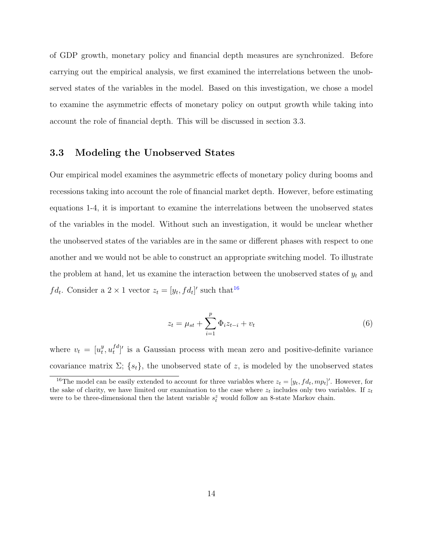of GDP growth, monetary policy and financial depth measures are synchronized. Before carrying out the empirical analysis, we first examined the interrelations between the unobserved states of the variables in the model. Based on this investigation, we chose a model to examine the asymmetric effects of monetary policy on output growth while taking into account the role of financial depth. This will be discussed in section 3.3.

# 3.3 Modeling the Unobserved States

Our empirical model examines the asymmetric effects of monetary policy during booms and recessions taking into account the role of financial market depth. However, before estimating equations 1-4, it is important to examine the interrelations between the unobserved states of the variables in the model. Without such an investigation, it would be unclear whether the unobserved states of the variables are in the same or different phases with respect to one another and we would not be able to construct an appropriate switching model. To illustrate the problem at hand, let us examine the interaction between the unobserved states of  $y_t$  and  $fd_t$ . Consider a  $2 \times 1$  vector  $z_t = [y_t, fd_t]'$  such that<sup>16</sup>

$$
z_t = \mu_{st} + \sum_{i=1}^p \Phi_i z_{t-i} + v_t
$$
\n(6)

where  $v_t = [u_t^y]$  $_t^y, u_t^{fd}$  ${}_{t}^{fd}$ <sup>*'*</sup> is a Gaussian process with mean zero and positive-definite variance covariance matrix  $\Sigma$ ;  $\{s_t\}$ , the unobserved state of z, is modeled by the unobserved states

<sup>&</sup>lt;sup>16</sup>The model can be easily extended to account for three variables where  $z_t = [y_t, f_{dt}, mp_t]'$ . However, for the sake of clarity, we have limited our examination to the case where  $z_t$  includes only two variables. If  $z_t$ were to be three-dimensional then the latent variable  $s_t^z$  would follow an 8-state Markov chain.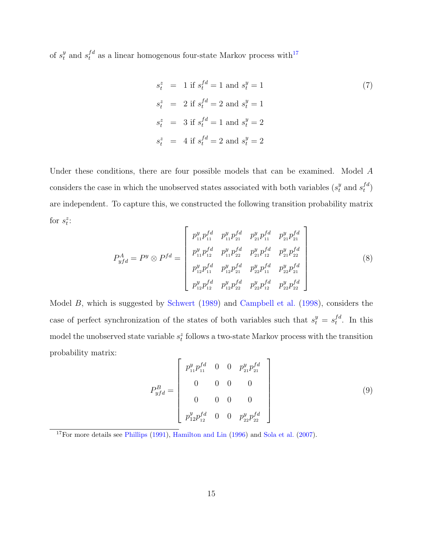of  $s_t^y$  and  $s_t^{fd}$  as a linear homogenous four-state Markov process with<sup>17</sup>

$$
s_t^z = 1 \text{ if } s_t^{fd} = 1 \text{ and } s_t^y = 1
$$
  
\n
$$
s_t^z = 2 \text{ if } s_t^{fd} = 2 \text{ and } s_t^y = 1
$$
  
\n
$$
s_t^z = 3 \text{ if } s_t^{fd} = 1 \text{ and } s_t^y = 2
$$
  
\n
$$
s_t^z = 4 \text{ if } s_t^{fd} = 2 \text{ and } s_t^y = 2
$$

Under these conditions, there are four possible models that can be examined. Model A considers the case in which the unobserved states associated with both variables ( $s_t^y$  and  $s_t^{fd}$  $_{t}^{f\,d})$ are independent. To capture this, we constructed the following transition probability matrix for  $s_t^z$ :  $\Gamma$  $\overline{\mathbf{1}}$ 

$$
P_{yfd}^{A} = P^{y} \otimes P^{fd} = \begin{bmatrix} p_{11}^{y} p_{11}^{fd} & p_{11}^{y} p_{21}^{fd} & p_{21}^{y} p_{11}^{fd} & p_{21}^{y} p_{21}^{fd} \\ p_{11}^{y} p_{12}^{fd} & p_{11}^{y} p_{22}^{fd} & p_{21}^{y} p_{12}^{fd} & p_{21}^{y} p_{22}^{fd} \\ p_{12}^{y} p_{11}^{fd} & p_{12}^{y} p_{21}^{fd} & p_{22}^{y} p_{11}^{fd} & p_{22}^{y} p_{21}^{fd} \\ p_{12}^{y} p_{12}^{fd} & p_{12}^{y} p_{22}^{fd} & p_{22}^{y} p_{12}^{fd} & p_{22}^{y} p_{22}^{fd} \end{bmatrix}
$$
\n(8)

Model B, which is suggested by Schwert (1989) and Campbell et al. (1998), considers the case of perfect synchronization of the states of both variables such that  $s_t^y = s_t^{fd}$  $t^{d}$ . In this model the unobserved state variable  $s_t^z$  follows a two-state Markov process with the transition probability matrix:

$$
P_{yfd}^{B} = \begin{bmatrix} p_{11}^{y} p_{11}^{fd} & 0 & 0 & p_{21}^{y} p_{21}^{fd} \\ 0 & 0 & 0 & 0 \\ 0 & 0 & 0 & 0 \\ p_{12}^{y} p_{12}^{fd} & 0 & 0 & p_{22}^{y} p_{22}^{fd} \end{bmatrix}
$$
(9)

<sup>17</sup>For more details see Phillips (1991), Hamilton and Lin (1996) and Sola et al. (2007).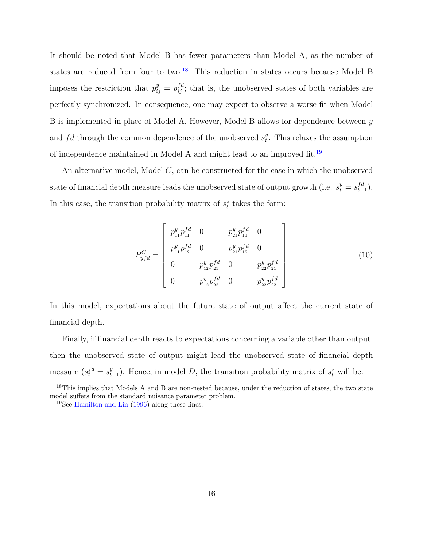It should be noted that Model B has fewer parameters than Model A, as the number of states are reduced from four to two.<sup>18</sup> This reduction in states occurs because Model B imposes the restriction that  $p_{ij}^y = p_{ij}^{fd}$ ; that is, the unobserved states of both variables are perfectly synchronized. In consequence, one may expect to observe a worse fit when Model B is implemented in place of Model A. However, Model B allows for dependence between y and  $fd$  through the common dependence of the unobserved  $s_t^y$  $t<sup>y</sup>$ . This relaxes the assumption of independence maintained in Model A and might lead to an improved fit.<sup>19</sup>

An alternative model, Model  $C$ , can be constructed for the case in which the unobserved state of financial depth measure leads the unobserved state of output growth (i.e.  $s_t^y = s_{t-1}^{fd}$ ). In this case, the transition probability matrix of  $s_t^z$  takes the form:

$$
P_{yfd}^{C} = \begin{bmatrix} p_{11}^{y} p_{11}^{fd} & 0 & p_{21}^{y} p_{11}^{fd} & 0 \\ p_{11}^{y} p_{12}^{fd} & 0 & p_{21}^{y} p_{12}^{fd} & 0 \\ 0 & p_{12}^{y} p_{21}^{fd} & 0 & p_{22}^{y} p_{21}^{fd} \\ 0 & p_{12}^{y} p_{22}^{fd} & 0 & p_{22}^{y} p_{22}^{fd} \end{bmatrix}
$$
 (10)

In this model, expectations about the future state of output affect the current state of financial depth.

Finally, if financial depth reacts to expectations concerning a variable other than output, then the unobserved state of output might lead the unobserved state of financial depth measure  $(s_t^{fd} = s_{t-1}^y)$ . Hence, in model D, the transition probability matrix of  $s_t^z$  will be:

<sup>&</sup>lt;sup>18</sup>This implies that Models A and B are non-nested because, under the reduction of states, the two state model suffers from the standard nuisance parameter problem.

<sup>19</sup>See Hamilton and Lin (1996) along these lines.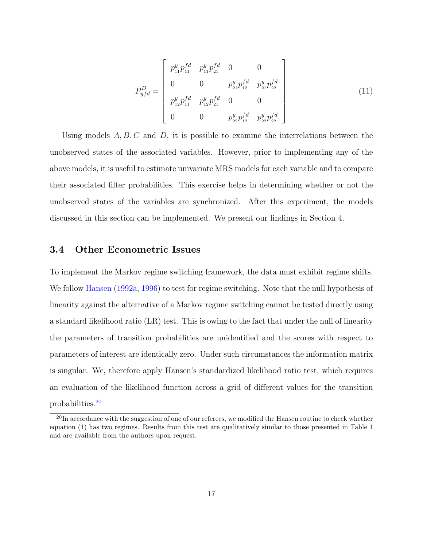$$
P_{yfd}^{D} = \begin{bmatrix} p_{11}^{y} p_{11}^{fd} & p_{11}^{y} p_{21}^{fd} & 0 & 0 \\ 0 & 0 & p_{21}^{y} p_{12}^{fd} & p_{21}^{y} p_{22}^{fd} \\ p_{12}^{y} p_{11}^{fd} & p_{12}^{y} p_{21}^{fd} & 0 & 0 \\ 0 & 0 & p_{22}^{y} p_{12}^{fd} & p_{22}^{y} p_{22}^{fd} \end{bmatrix} \tag{11}
$$

Using models  $A, B, C$  and  $D$ , it is possible to examine the interrelations between the unobserved states of the associated variables. However, prior to implementing any of the above models, it is useful to estimate univariate MRS models for each variable and to compare their associated filter probabilities. This exercise helps in determining whether or not the unobserved states of the variables are synchronized. After this experiment, the models discussed in this section can be implemented. We present our findings in Section 4.

# 3.4 Other Econometric Issues

To implement the Markov regime switching framework, the data must exhibit regime shifts. We follow Hansen (1992a, 1996) to test for regime switching. Note that the null hypothesis of linearity against the alternative of a Markov regime switching cannot be tested directly using a standard likelihood ratio (LR) test. This is owing to the fact that under the null of linearity the parameters of transition probabilities are unidentified and the scores with respect to parameters of interest are identically zero. Under such circumstances the information matrix is singular. We, therefore apply Hansen's standardized likelihood ratio test, which requires an evaluation of the likelihood function across a grid of different values for the transition probabilities.<sup>20</sup>

 $^{20}$ In accordance with the suggestion of one of our referees, we modified the Hansen routine to check whether equation (1) has two regimes. Results from this test are qualitatively similar to those presented in Table 1 and are available from the authors upon request.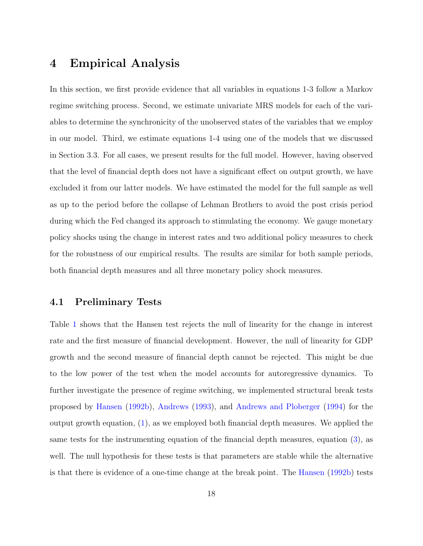# 4 Empirical Analysis

In this section, we first provide evidence that all variables in equations 1-3 follow a Markov regime switching process. Second, we estimate univariate MRS models for each of the variables to determine the synchronicity of the unobserved states of the variables that we employ in our model. Third, we estimate equations 1-4 using one of the models that we discussed in Section 3.3. For all cases, we present results for the full model. However, having observed that the level of financial depth does not have a significant effect on output growth, we have excluded it from our latter models. We have estimated the model for the full sample as well as up to the period before the collapse of Lehman Brothers to avoid the post crisis period during which the Fed changed its approach to stimulating the economy. We gauge monetary policy shocks using the change in interest rates and two additional policy measures to check for the robustness of our empirical results. The results are similar for both sample periods, both financial depth measures and all three monetary policy shock measures.

### 4.1 Preliminary Tests

Table 1 shows that the Hansen test rejects the null of linearity for the change in interest rate and the first measure of financial development. However, the null of linearity for GDP growth and the second measure of financial depth cannot be rejected. This might be due to the low power of the test when the model accounts for autoregressive dynamics. To further investigate the presence of regime switching, we implemented structural break tests proposed by Hansen (1992b), Andrews (1993), and Andrews and Ploberger (1994) for the output growth equation, (1), as we employed both financial depth measures. We applied the same tests for the instrumenting equation of the financial depth measures, equation (3), as well. The null hypothesis for these tests is that parameters are stable while the alternative is that there is evidence of a one-time change at the break point. The Hansen (1992b) tests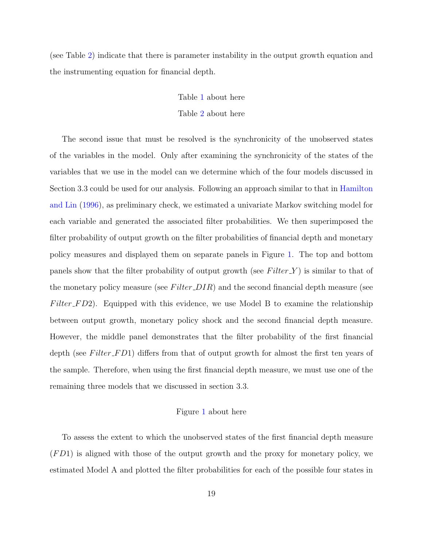(see Table 2) indicate that there is parameter instability in the output growth equation and the instrumenting equation for financial depth.

### Table 1 about here

### Table 2 about here

The second issue that must be resolved is the synchronicity of the unobserved states of the variables in the model. Only after examining the synchronicity of the states of the variables that we use in the model can we determine which of the four models discussed in Section 3.3 could be used for our analysis. Following an approach similar to that in Hamilton and Lin (1996), as preliminary check, we estimated a univariate Markov switching model for each variable and generated the associated filter probabilities. We then superimposed the filter probability of output growth on the filter probabilities of financial depth and monetary policy measures and displayed them on separate panels in Figure 1. The top and bottom panels show that the filter probability of output growth (see  $Filter_Y$ ) is similar to that of the monetary policy measure (see  $Filter$  $DIR$ ) and the second financial depth measure (see  $Filter_F D2$ . Equipped with this evidence, we use Model B to examine the relationship between output growth, monetary policy shock and the second financial depth measure. However, the middle panel demonstrates that the filter probability of the first financial depth (see Filter\_FD1) differs from that of output growth for almost the first ten years of the sample. Therefore, when using the first financial depth measure, we must use one of the remaining three models that we discussed in section 3.3.

#### Figure 1 about here

To assess the extent to which the unobserved states of the first financial depth measure  $(FD1)$  is aligned with those of the output growth and the proxy for monetary policy, we estimated Model A and plotted the filter probabilities for each of the possible four states in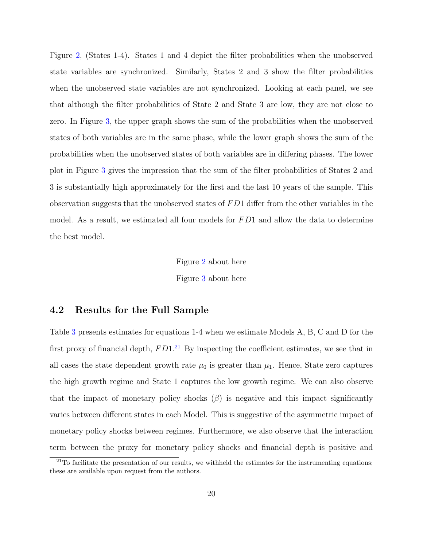Figure 2, (States 1-4). States 1 and 4 depict the filter probabilities when the unobserved state variables are synchronized. Similarly, States 2 and 3 show the filter probabilities when the unobserved state variables are not synchronized. Looking at each panel, we see that although the filter probabilities of State 2 and State 3 are low, they are not close to zero. In Figure 3, the upper graph shows the sum of the probabilities when the unobserved states of both variables are in the same phase, while the lower graph shows the sum of the probabilities when the unobserved states of both variables are in differing phases. The lower plot in Figure 3 gives the impression that the sum of the filter probabilities of States 2 and 3 is substantially high approximately for the first and the last 10 years of the sample. This observation suggests that the unobserved states of  $FD1$  differ from the other variables in the model. As a result, we estimated all four models for  $FD1$  and allow the data to determine the best model.

> Figure 2 about here Figure 3 about here

# 4.2 Results for the Full Sample

Table 3 presents estimates for equations 1-4 when we estimate Models A, B, C and D for the first proxy of financial depth,  $FD1<sup>21</sup>$  By inspecting the coefficient estimates, we see that in all cases the state dependent growth rate  $\mu_0$  is greater than  $\mu_1$ . Hence, State zero captures the high growth regime and State 1 captures the low growth regime. We can also observe that the impact of monetary policy shocks  $(\beta)$  is negative and this impact significantly varies between different states in each Model. This is suggestive of the asymmetric impact of monetary policy shocks between regimes. Furthermore, we also observe that the interaction term between the proxy for monetary policy shocks and financial depth is positive and

 $21$ To facilitate the presentation of our results, we withheld the estimates for the instrumenting equations; these are available upon request from the authors.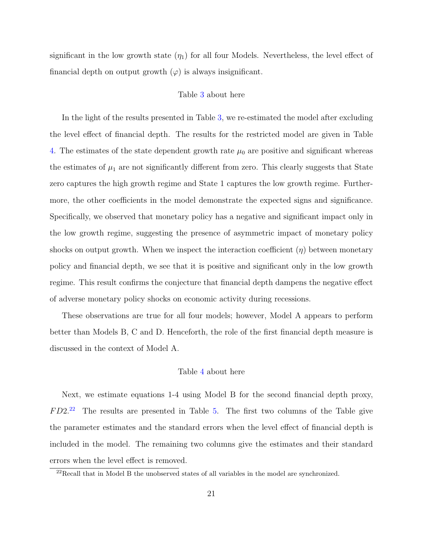significant in the low growth state  $(\eta_1)$  for all four Models. Nevertheless, the level effect of financial depth on output growth  $(\varphi)$  is always insignificant.

#### Table 3 about here

In the light of the results presented in Table 3, we re-estimated the model after excluding the level effect of financial depth. The results for the restricted model are given in Table 4. The estimates of the state dependent growth rate  $\mu_0$  are positive and significant whereas the estimates of  $\mu_1$  are not significantly different from zero. This clearly suggests that State zero captures the high growth regime and State 1 captures the low growth regime. Furthermore, the other coefficients in the model demonstrate the expected signs and significance. Specifically, we observed that monetary policy has a negative and significant impact only in the low growth regime, suggesting the presence of asymmetric impact of monetary policy shocks on output growth. When we inspect the interaction coefficient  $(\eta)$  between monetary policy and financial depth, we see that it is positive and significant only in the low growth regime. This result confirms the conjecture that financial depth dampens the negative effect of adverse monetary policy shocks on economic activity during recessions.

These observations are true for all four models; however, Model A appears to perform better than Models B, C and D. Henceforth, the role of the first financial depth measure is discussed in the context of Model A.

### Table 4 about here

Next, we estimate equations 1-4 using Model B for the second financial depth proxy,  $FD2<sup>22</sup>$  The results are presented in Table 5. The first two columns of the Table give the parameter estimates and the standard errors when the level effect of financial depth is included in the model. The remaining two columns give the estimates and their standard errors when the level effect is removed.

 $^{22}\rm{Recall}$  that in Model B the unobserved states of all variables in the model are synchronized.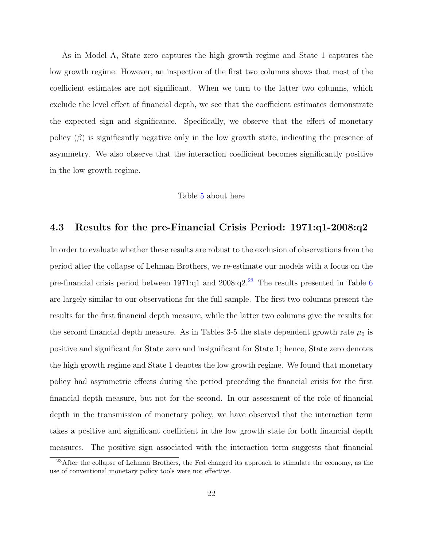As in Model A, State zero captures the high growth regime and State 1 captures the low growth regime. However, an inspection of the first two columns shows that most of the coefficient estimates are not significant. When we turn to the latter two columns, which exclude the level effect of financial depth, we see that the coefficient estimates demonstrate the expected sign and significance. Specifically, we observe that the effect of monetary policy  $(\beta)$  is significantly negative only in the low growth state, indicating the presence of asymmetry. We also observe that the interaction coefficient becomes significantly positive in the low growth regime.

#### Table 5 about here

### 4.3 Results for the pre-Financial Crisis Period: 1971:q1-2008:q2

In order to evaluate whether these results are robust to the exclusion of observations from the period after the collapse of Lehman Brothers, we re-estimate our models with a focus on the pre-financial crisis period between  $1971:q1$  and  $2008:q2.^{23}$  The results presented in Table 6 are largely similar to our observations for the full sample. The first two columns present the results for the first financial depth measure, while the latter two columns give the results for the second financial depth measure. As in Tables 3-5 the state dependent growth rate  $\mu_0$  is positive and significant for State zero and insignificant for State 1; hence, State zero denotes the high growth regime and State 1 denotes the low growth regime. We found that monetary policy had asymmetric effects during the period preceding the financial crisis for the first financial depth measure, but not for the second. In our assessment of the role of financial depth in the transmission of monetary policy, we have observed that the interaction term takes a positive and significant coefficient in the low growth state for both financial depth measures. The positive sign associated with the interaction term suggests that financial

<sup>&</sup>lt;sup>23</sup>After the collapse of Lehman Brothers, the Fed changed its approach to stimulate the economy, as the use of conventional monetary policy tools were not effective.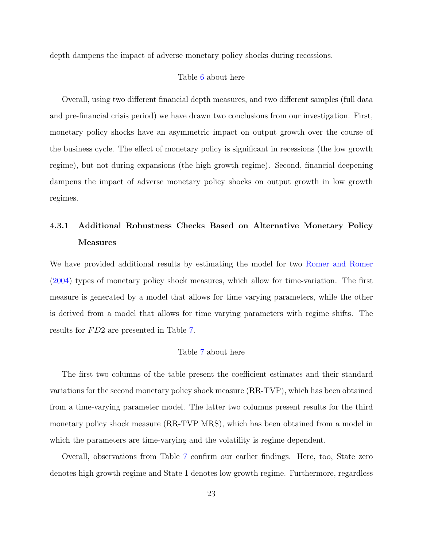depth dampens the impact of adverse monetary policy shocks during recessions.

#### Table 6 about here

Overall, using two different financial depth measures, and two different samples (full data and pre-financial crisis period) we have drawn two conclusions from our investigation. First, monetary policy shocks have an asymmetric impact on output growth over the course of the business cycle. The effect of monetary policy is significant in recessions (the low growth regime), but not during expansions (the high growth regime). Second, financial deepening dampens the impact of adverse monetary policy shocks on output growth in low growth regimes.

# 4.3.1 Additional Robustness Checks Based on Alternative Monetary Policy Measures

We have provided additional results by estimating the model for two Romer and Romer (2004) types of monetary policy shock measures, which allow for time-variation. The first measure is generated by a model that allows for time varying parameters, while the other is derived from a model that allows for time varying parameters with regime shifts. The results for  $FD2$  are presented in Table 7.

### Table 7 about here

The first two columns of the table present the coefficient estimates and their standard variations for the second monetary policy shock measure (RR-TVP), which has been obtained from a time-varying parameter model. The latter two columns present results for the third monetary policy shock measure (RR-TVP MRS), which has been obtained from a model in which the parameters are time-varying and the volatility is regime dependent.

Overall, observations from Table 7 confirm our earlier findings. Here, too, State zero denotes high growth regime and State 1 denotes low growth regime. Furthermore, regardless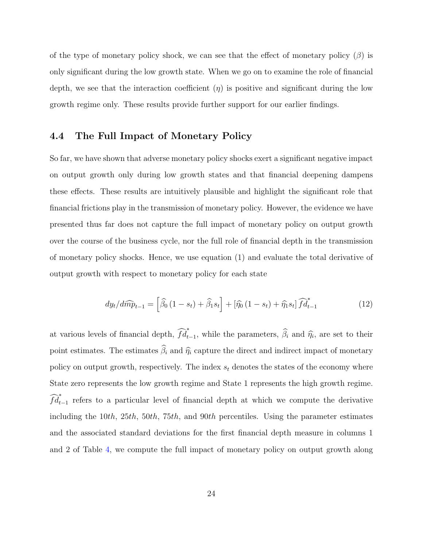of the type of monetary policy shock, we can see that the effect of monetary policy  $(\beta)$  is only significant during the low growth state. When we go on to examine the role of financial depth, we see that the interaction coefficient  $(\eta)$  is positive and significant during the low growth regime only. These results provide further support for our earlier findings.

# 4.4 The Full Impact of Monetary Policy

So far, we have shown that adverse monetary policy shocks exert a significant negative impact on output growth only during low growth states and that financial deepening dampens these effects. These results are intuitively plausible and highlight the significant role that financial frictions play in the transmission of monetary policy. However, the evidence we have presented thus far does not capture the full impact of monetary policy on output growth over the course of the business cycle, nor the full role of financial depth in the transmission of monetary policy shocks. Hence, we use equation (1) and evaluate the total derivative of output growth with respect to monetary policy for each state

$$
dy_t/d\widehat{mp}_{t-1} = \left[\widehat{\beta}_0\left(1-s_t\right) + \widehat{\beta}_1 s_t\right] + \left[\widehat{\eta}_0\left(1-s_t\right) + \widehat{\eta}_1 s_t\right] \widehat{fd}_{t-1}^*
$$
\n(12)

at various levels of financial depth,  $\widehat{fd}_{t-1}^*$ , while the parameters,  $\widehat{\beta}_i$  and  $\widehat{\eta}_i$ , are set to their point estimates. The estimates  $\widehat{\beta}_i$  and  $\widehat{\eta}_i$  capture the direct and indirect impact of monetary policy on output growth, respectively. The index  $s_t$  denotes the states of the economy where State zero represents the low growth regime and State 1 represents the high growth regime.  $\widehat{fd}_{t-1}^*$  refers to a particular level of financial depth at which we compute the derivative including the 10th, 25th, 50th, 75th, and 90th percentiles. Using the parameter estimates and the associated standard deviations for the first financial depth measure in columns 1 and 2 of Table 4, we compute the full impact of monetary policy on output growth along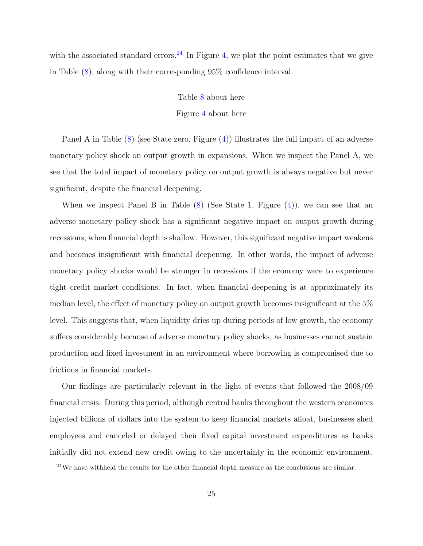with the associated standard errors.<sup>24</sup> In Figure 4, we plot the point estimates that we give in Table (8), along with their corresponding 95% confidence interval.

### Table 8 about here

### Figure 4 about here

Panel A in Table (8) (see State zero, Figure (4)) illustrates the full impact of an adverse monetary policy shock on output growth in expansions. When we inspect the Panel A, we see that the total impact of monetary policy on output growth is always negative but never significant, despite the financial deepening.

When we inspect Panel B in Table (8) (See State 1, Figure (4)), we can see that an adverse monetary policy shock has a significant negative impact on output growth during recessions, when financial depth is shallow. However, this significant negative impact weakens and becomes insignificant with financial deepening. In other words, the impact of adverse monetary policy shocks would be stronger in recessions if the economy were to experience tight credit market conditions. In fact, when financial deepening is at approximately its median level, the effect of monetary policy on output growth becomes insignificant at the 5% level. This suggests that, when liquidity dries up during periods of low growth, the economy suffers considerably because of adverse monetary policy shocks, as businesses cannot sustain production and fixed investment in an environment where borrowing is compromised due to frictions in financial markets.

Our findings are particularly relevant in the light of events that followed the 2008/09 financial crisis. During this period, although central banks throughout the western economies injected billions of dollars into the system to keep financial markets afloat, businesses shed employees and canceled or delayed their fixed capital investment expenditures as banks initially did not extend new credit owing to the uncertainty in the economic environment.

 $24$ We have withheld the results for the other financial depth measure as the conclusions are similar.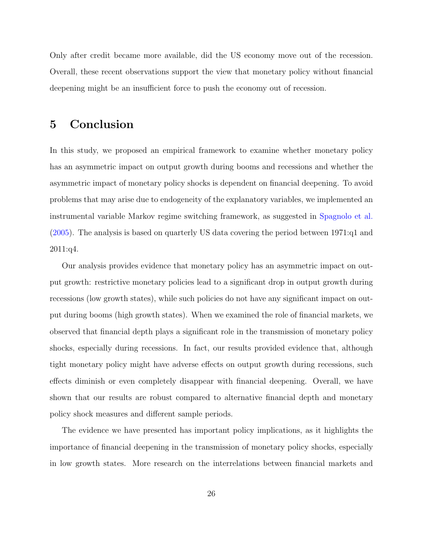Only after credit became more available, did the US economy move out of the recession. Overall, these recent observations support the view that monetary policy without financial deepening might be an insufficient force to push the economy out of recession.

# 5 Conclusion

In this study, we proposed an empirical framework to examine whether monetary policy has an asymmetric impact on output growth during booms and recessions and whether the asymmetric impact of monetary policy shocks is dependent on financial deepening. To avoid problems that may arise due to endogeneity of the explanatory variables, we implemented an instrumental variable Markov regime switching framework, as suggested in Spagnolo et al. (2005). The analysis is based on quarterly US data covering the period between 1971:q1 and 2011:q4.

Our analysis provides evidence that monetary policy has an asymmetric impact on output growth: restrictive monetary policies lead to a significant drop in output growth during recessions (low growth states), while such policies do not have any significant impact on output during booms (high growth states). When we examined the role of financial markets, we observed that financial depth plays a significant role in the transmission of monetary policy shocks, especially during recessions. In fact, our results provided evidence that, although tight monetary policy might have adverse effects on output growth during recessions, such effects diminish or even completely disappear with financial deepening. Overall, we have shown that our results are robust compared to alternative financial depth and monetary policy shock measures and different sample periods.

The evidence we have presented has important policy implications, as it highlights the importance of financial deepening in the transmission of monetary policy shocks, especially in low growth states. More research on the interrelations between financial markets and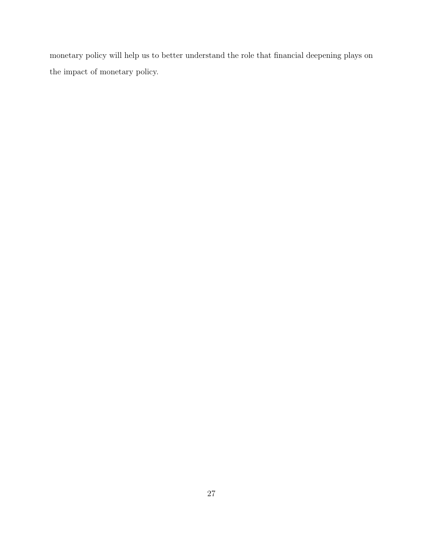monetary policy will help us to better understand the role that financial deepening plays on the impact of monetary policy.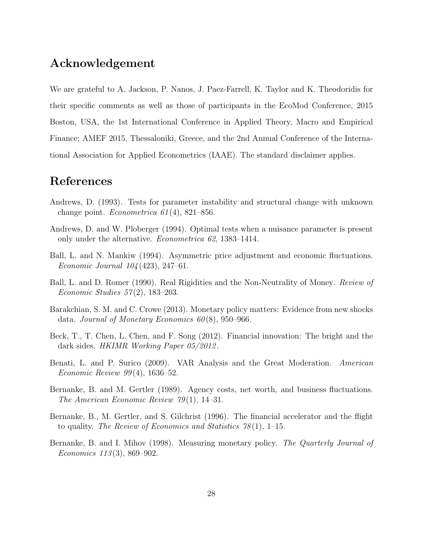# Acknowledgement

We are grateful to A. Jackson, P. Nanos, J. Paez-Farrell, K. Taylor and K. Theodoridis for their specific comments as well as those of participants in the EcoMod Conference, 2015 Boston, USA, the 1st International Conference in Applied Theory, Macro and Empirical Finance; AMEF 2015, Thessaloniki, Greece, and the 2nd Annual Conference of the International Association for Applied Econometrics (IAAE). The standard disclaimer applies.

# References

- Andrews, D. (1993). Tests for parameter instability and structural change with unknown change point. *Econometrica*  $61(4)$ , 821–856.
- Andrews, D. and W. Ploberger (1994). Optimal tests when a nuisance parameter is present only under the alternative. Econometrica 62, 1383–1414.
- Ball, L. and N. Mankiw (1994). Asymmetric price adjustment and economic fluctuations. Economic Journal 104 (423), 247–61.
- Ball, L. and D. Romer (1990). Real Rigidities and the Non-Neutrality of Money. *Review of* Economic Studies 57 (2), 183–203.
- Barakchian, S. M. and C. Crowe (2013). Monetary policy matters: Evidence from new shocks data. Journal of Monetary Economics  $60(8)$ , 950–966.
- Beck, T., T. Chen, L. Chen, and F. Song (2012). Financial innovation: The bright and the dark sides. HKIMR Working Paper 05/2012 .
- Benati, L. and P. Surico (2009). VAR Analysis and the Great Moderation. American Economic Review 99 (4), 1636–52.
- Bernanke, B. and M. Gertler (1989). Agency costs, net worth, and business fluctuations. The American Economic Review 79 (1), 14–31.
- Bernanke, B., M. Gertler, and S. Gilchrist (1996). The financial accelerator and the flight to quality. The Review of Economics and Statistics  $78(1)$ , 1–15.
- Bernanke, B. and I. Mihov (1998). Measuring monetary policy. The Quarterly Journal of Economics 113 (3), 869–902.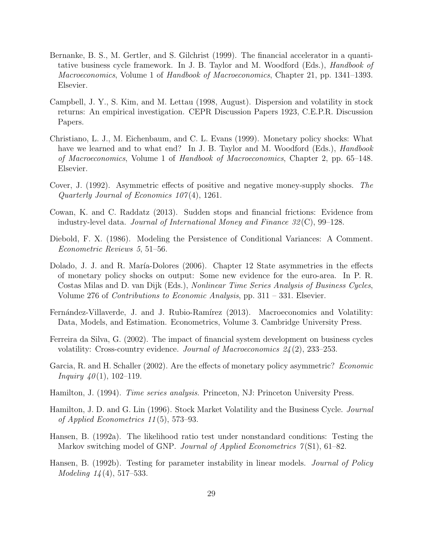- Bernanke, B. S., M. Gertler, and S. Gilchrist (1999). The financial accelerator in a quantitative business cycle framework. In J. B. Taylor and M. Woodford (Eds.), Handbook of Macroeconomics, Volume 1 of Handbook of Macroeconomics, Chapter 21, pp. 1341–1393. Elsevier.
- Campbell, J. Y., S. Kim, and M. Lettau (1998, August). Dispersion and volatility in stock returns: An empirical investigation. CEPR Discussion Papers 1923, C.E.P.R. Discussion Papers.
- Christiano, L. J., M. Eichenbaum, and C. L. Evans (1999). Monetary policy shocks: What have we learned and to what end? In J. B. Taylor and M. Woodford (Eds.), *Handbook* of Macroeconomics, Volume 1 of Handbook of Macroeconomics, Chapter 2, pp. 65–148. Elsevier.
- Cover, J. (1992). Asymmetric effects of positive and negative money-supply shocks. The Quarterly Journal of Economics  $107(4)$ , 1261.
- Cowan, K. and C. Raddatz (2013). Sudden stops and financial frictions: Evidence from industry-level data. Journal of International Money and Finance  $32(\text{C})$ , 99–128.
- Diebold, F. X. (1986). Modeling the Persistence of Conditional Variances: A Comment. Econometric Reviews 5, 51–56.
- Dolado, J. J. and R. María-Dolores (2006). Chapter 12 State asymmetries in the effects of monetary policy shocks on output: Some new evidence for the euro-area. In P. R. Costas Milas and D. van Dijk (Eds.), Nonlinear Time Series Analysis of Business Cycles, Volume 276 of *Contributions to Economic Analysis*, pp.  $311 - 331$ . Elsevier.
- Fernández-Villaverde, J. and J. Rubio-Ramírez (2013). Macroeconomics and Volatility: Data, Models, and Estimation. Econometrics, Volume 3. Cambridge University Press.
- Ferreira da Silva, G. (2002). The impact of financial system development on business cycles volatility: Cross-country evidence. Journal of Macroeconomics  $24(2)$ , 233–253.
- Garcia, R. and H. Schaller (2002). Are the effects of monetary policy asymmetric? Economic *Inquiry*  $40(1)$ , 102–119.
- Hamilton, J. (1994). *Time series analysis*. Princeton, NJ: Princeton University Press.
- Hamilton, J. D. and G. Lin (1996). Stock Market Volatility and the Business Cycle. Journal of Applied Econometrics 11 (5), 573–93.
- Hansen, B. (1992a). The likelihood ratio test under nonstandard conditions: Testing the Markov switching model of GNP. Journal of Applied Econometrics  $\gamma(S1)$ , 61–82.
- Hansen, B. (1992b). Testing for parameter instability in linear models. *Journal of Policy* Modeling  $14(4)$ , 517–533.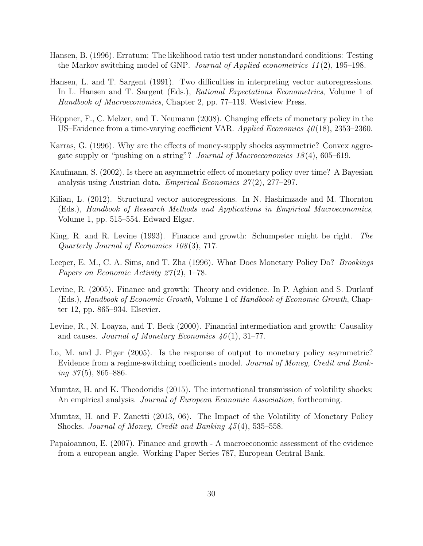- Hansen, B. (1996). Erratum: The likelihood ratio test under nonstandard conditions: Testing the Markov switching model of GNP. Journal of Applied econometrics 11 (2), 195–198.
- Hansen, L. and T. Sargent (1991). Two difficulties in interpreting vector autoregressions. In L. Hansen and T. Sargent (Eds.), Rational Expectations Econometrics, Volume 1 of Handbook of Macroeconomics, Chapter 2, pp. 77–119. Westview Press.
- Höppner, F., C. Melzer, and T. Neumann (2008). Changing effects of monetary policy in the US–Evidence from a time-varying coefficient VAR. Applied Economics  $40(18)$ , 2353–2360.
- Karras, G. (1996). Why are the effects of money-supply shocks asymmetric? Convex aggregate supply or "pushing on a string"? Journal of Macroeconomics 18 (4), 605–619.
- Kaufmann, S. (2002). Is there an asymmetric effect of monetary policy over time? A Bayesian analysis using Austrian data. *Empirical Economics 27(2)*, 277–297.
- Kilian, L. (2012). Structural vector autoregressions. In N. Hashimzade and M. Thornton (Eds.), Handbook of Research Methods and Applications in Empirical Macroeconomics, Volume 1, pp. 515–554. Edward Elgar.
- King, R. and R. Levine (1993). Finance and growth: Schumpeter might be right. The Quarterly Journal of Economics 108 (3), 717.
- Leeper, E. M., C. A. Sims, and T. Zha (1996). What Does Monetary Policy Do? Brookings Papers on Economic Activity  $27(2)$ , 1–78.
- Levine, R. (2005). Finance and growth: Theory and evidence. In P. Aghion and S. Durlauf (Eds.), Handbook of Economic Growth, Volume 1 of Handbook of Economic Growth, Chapter 12, pp. 865–934. Elsevier.
- Levine, R., N. Loayza, and T. Beck (2000). Financial intermediation and growth: Causality and causes. Journal of Monetary Economics  $46(1), 31-77$ .
- Lo, M. and J. Piger (2005). Is the response of output to monetary policy asymmetric? Evidence from a regime-switching coefficients model. Journal of Money, Credit and Bank $inq 37(5)$ , 865–886.
- Mumtaz, H. and K. Theodoridis (2015). The international transmission of volatility shocks: An empirical analysis. *Journal of European Economic Association*, forthcoming.
- Mumtaz, H. and F. Zanetti (2013, 06). The Impact of the Volatility of Monetary Policy Shocks. Journal of Money, Credit and Banking 45 (4), 535–558.
- Papaioannou, E. (2007). Finance and growth A macroeconomic assessment of the evidence from a european angle. Working Paper Series 787, European Central Bank.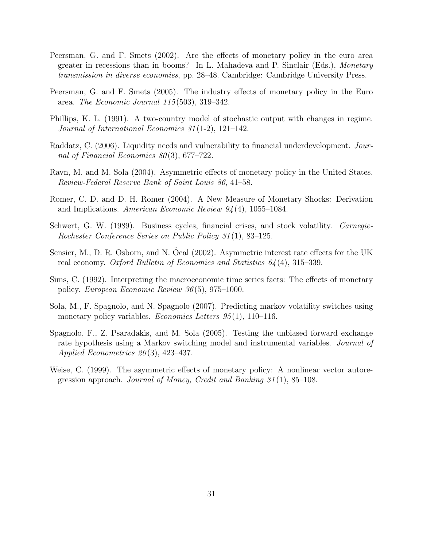- Peersman, G. and F. Smets (2002). Are the effects of monetary policy in the euro area greater in recessions than in booms? In L. Mahadeva and P. Sinclair (Eds.), Monetary transmission in diverse economies, pp. 28–48. Cambridge: Cambridge University Press.
- Peersman, G. and F. Smets (2005). The industry effects of monetary policy in the Euro area. The Economic Journal 115 (503), 319–342.
- Phillips, K. L. (1991). A two-country model of stochastic output with changes in regime. Journal of International Economics 31 (1-2), 121–142.
- Raddatz, C. (2006). Liquidity needs and vulnerability to financial underdevelopment. Journal of Financial Economics 80(3), 677-722.
- Ravn, M. and M. Sola (2004). Asymmetric effects of monetary policy in the United States. Review-Federal Reserve Bank of Saint Louis 86, 41–58.
- Romer, C. D. and D. H. Romer (2004). A New Measure of Monetary Shocks: Derivation and Implications. American Economic Review 94 (4), 1055–1084.
- Schwert, G. W. (1989). Business cycles, financial crises, and stock volatility. *Carnegie-*Rochester Conference Series on Public Policy 31 (1), 83–125.
- Sensier, M., D. R. Osborn, and N. Ocal (2002). Asymmetric interest rate effects for the UK real economy. Oxford Bulletin of Economics and Statistics  $64(4)$ , 315–339.
- Sims, C. (1992). Interpreting the macroeconomic time series facts: The effects of monetary policy. European Economic Review 36 (5), 975–1000.
- Sola, M., F. Spagnolo, and N. Spagnolo (2007). Predicting markov volatility switches using monetary policy variables. *Economics Letters*  $95(1)$ , 110–116.
- Spagnolo, F., Z. Psaradakis, and M. Sola (2005). Testing the unbiased forward exchange rate hypothesis using a Markov switching model and instrumental variables. *Journal of* Applied Econometrics  $20(3)$ , 423-437.
- Weise, C. (1999). The asymmetric effects of monetary policy: A nonlinear vector autoregression approach. Journal of Money, Credit and Banking  $31(1)$ , 85–108.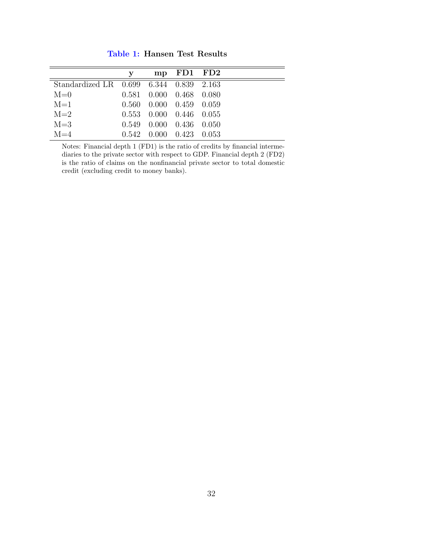|                                         | y | mp FD1 FD2                      |  |
|-----------------------------------------|---|---------------------------------|--|
| Standardized LR 0.699 6.344 0.839 2.163 |   |                                 |  |
| $M=0$                                   |   | $0.581$ $0.000$ $0.468$ $0.080$ |  |
| $M=1$                                   |   | $0.560$ $0.000$ $0.459$ $0.059$ |  |
| $M=2$                                   |   | $0.553$ $0.000$ $0.446$ $0.055$ |  |
| $M = 3$                                 |   | $0.549$ $0.000$ $0.436$ $0.050$ |  |
| $M=4$                                   |   | 0.542 0.000 0.423 0.053         |  |

Table 1: Hansen Test Results

Notes: Financial depth 1 (FD1) is the ratio of credits by financial intermediaries to the private sector with respect to GDP. Financial depth 2 (FD2) is the ratio of claims on the nonfinancial private sector to total domestic credit (excluding credit to money banks).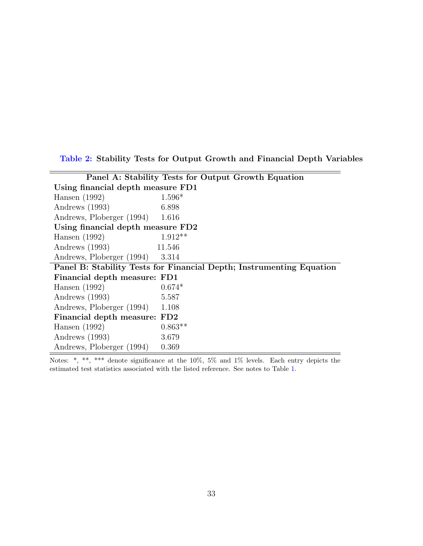Table 2: Stability Tests for Output Growth and Financial Depth Variables

|                                   | Panel A: Stability Tests for Output Growth Equation                  |
|-----------------------------------|----------------------------------------------------------------------|
| Using financial depth measure FD1 |                                                                      |
| Hansen $(1992)$                   | $1.596*$                                                             |
| Andrews (1993)                    | 6.898                                                                |
| Andrews, Ploberger (1994)         | 1.616                                                                |
| Using financial depth measure FD2 |                                                                      |
| Hansen $(1992)$                   | $1.912**$                                                            |
| Andrews (1993)                    | 11.546                                                               |
| Andrews, Ploberger (1994) 3.314   |                                                                      |
|                                   | Panel B: Stability Tests for Financial Depth; Instrumenting Equation |
| Financial depth measure: FD1      |                                                                      |
| Hansen $(1992)$                   | $0.674*$                                                             |
| Andrews (1993)                    | 5.587                                                                |
| Andrews, Ploberger (1994)         | 1.108                                                                |
| Financial depth measure: FD2      |                                                                      |
| Hansen $(1992)$                   | $0.863**$                                                            |
| Andrews (1993)                    | 3.679                                                                |
| Andrews, Ploberger (1994)         | 0.369                                                                |

Notes: \*, \*\*, \*\*\* denote significance at the 10%, 5% and 1% levels. Each entry depicts the estimated test statistics associated with the listed reference. See notes to Table 1.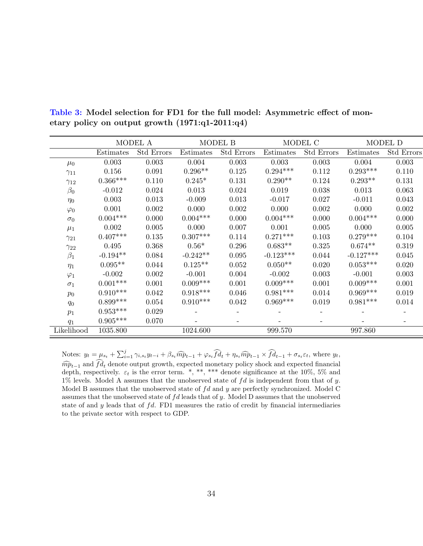|               |            | MODEL A           |            | MODEL B    | MODEL C     |                   | MODEL D     |                   |
|---------------|------------|-------------------|------------|------------|-------------|-------------------|-------------|-------------------|
|               | Estimates  | <b>Std Errors</b> | Estimates  | Std Errors | Estimates   | <b>Std Errors</b> | Estimates   | <b>Std Errors</b> |
| $\mu_0$       | 0.003      | 0.003             | 0.004      | 0.003      | 0.003       | 0.003             | 0.004       | 0.003             |
| $\gamma_{11}$ | 0.156      | 0.091             | $0.296**$  | 0.125      | $0.294***$  | 0.112             | $0.293***$  | 0.110             |
| $\gamma_{12}$ | $0.366***$ | 0.110             | $0.245*$   | 0.131      | $0.290**$   | 0.124             | $0.293**$   | 0.131             |
| $\beta_0$     | $-0.012$   | 0.024             | 0.013      | 0.024      | 0.019       | 0.038             | 0.013       | 0.063             |
| $\eta_0$      | 0.003      | 0.013             | $-0.009$   | 0.013      | $-0.017$    | 0.027             | $-0.011$    | 0.043             |
| $\varphi_0$   | 0.001      | 0.002             | 0.000      | 0.002      | 0.000       | 0.002             | 0.000       | 0.002             |
| $\sigma_0$    | $0.004***$ | 0.000             | $0.004***$ | 0.000      | $0.004***$  | 0.000             | $0.004***$  | 0.000             |
| $\mu_1$       | 0.002      | 0.005             | 0.000      | 0.007      | 0.001       | 0.005             | 0.000       | 0.005             |
| $\gamma_{21}$ | $0.407***$ | 0.135             | $0.307***$ | 0.114      | $0.271***$  | 0.103             | $0.279***$  | 0.104             |
| $\gamma_{22}$ | 0.495      | 0.368             | $0.56*$    | 0.296      | $0.683**$   | 0.325             | $0.674**$   | 0.319             |
| $\beta_1$     | $-0.194**$ | 0.084             | $-0.242**$ | 0.095      | $-0.123***$ | 0.044             | $-0.127***$ | 0.045             |
| $\eta_1$      | $0.095**$  | 0.044             | $0.125**$  | 0.052      | $0.050**$   | 0.020             | $0.053***$  | 0.020             |
| $\varphi_1$   | $-0.002$   | 0.002             | $-0.001$   | 0.004      | $-0.002$    | 0.003             | $-0.001$    | 0.003             |
| $\sigma_1$    | $0.001***$ | 0.001             | $0.009***$ | 0.001      | $0.009***$  | 0.001             | $0.009***$  | 0.001             |
| $p_0$         | $0.910***$ | 0.042             | $0.918***$ | 0.046      | $0.981***$  | 0.014             | $0.969***$  | 0.019             |
| $q_0$         | $0.899***$ | 0.054             | $0.910***$ | 0.042      | $0.969***$  | 0.019             | $0.981***$  | 0.014             |
| $p_1$         | $0.953***$ | 0.029             |            |            |             |                   |             |                   |
| $q_1$         | $0.905***$ | 0.070             |            |            |             |                   |             |                   |
| Likelihood    | 1035.800   |                   | 1024.600   |            | 999.570     |                   | 997.860     |                   |

Table 3: Model selection for FD1 for the full model: Asymmetric effect of monetary policy on output growth (1971:q1-2011:q4)

Notes:  $y_t = \mu_{s_t} + \sum_{i=1}^j \gamma_{i,s_t} y_{t-i} + \beta_{s_t} \widehat{m} p_{t-1} + \varphi_{s_t} \widehat{f} \widehat{d}_t + \eta_{s_t} \widehat{m} p_{t-1} \times \widehat{f} \widehat{d}_{t-1} + \sigma_{s_t} \varepsilon_t$ , where  $y_t$ ,  $\widehat{mp}_{t-1}$  and  $fd_t$  denote output growth, expected monetary policy shock and expected financial depth, respectively.  $\varepsilon_t$  is the error term. \*, \*\*, \*\*\* denote significance at the 10%, 5% and 1% levels. Model A assumes that the unobserved state of  $fd$  is independent from that of y. Model B assumes that the unobserved state of  $fd$  and  $y$  are perfectly synchronized. Model C assumes that the unobserved state of  $fd$  leads that of y. Model D assumes that the unobserved state of and y leads that of  $fd$ . FD1 measures the ratio of credit by financial intermediaries to the private sector with respect to GDP.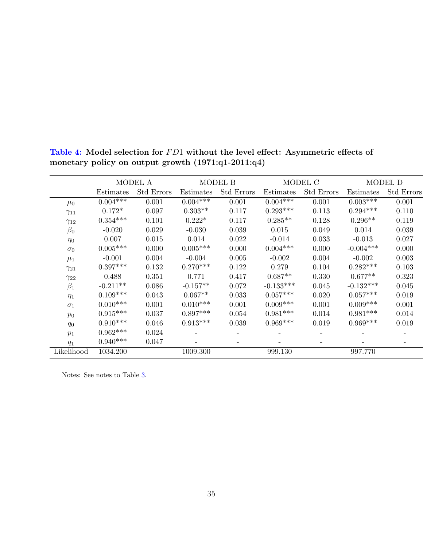|               |            | MODEL A           |            | MODEL B           | MODEL C     |                   | MODEL D     |                   |
|---------------|------------|-------------------|------------|-------------------|-------------|-------------------|-------------|-------------------|
|               | Estimates  | <b>Std Errors</b> | Estimates  | <b>Std Errors</b> | Estimates   | <b>Std Errors</b> | Estimates   | <b>Std Errors</b> |
| $\mu_0$       | $0.004***$ | 0.001             | $0.004***$ | 0.001             | $0.004***$  | 0.001             | $0.003***$  | 0.001             |
| $\gamma_{11}$ | $0.172*$   | 0.097             | $0.303**$  | 0.117             | $0.293***$  | 0.113             | $0.294***$  | 0.110             |
| $\gamma_{12}$ | $0.354***$ | 0.101             | $0.222*$   | 0.117             | $0.285**$   | 0.128             | $0.296**$   | 0.119             |
| $\beta_0$     | $-0.020$   | 0.029             | $-0.030$   | 0.039             | 0.015       | 0.049             | 0.014       | 0.039             |
| $\eta_0$      | 0.007      | 0.015             | 0.014      | 0.022             | $-0.014$    | 0.033             | $-0.013$    | 0.027             |
| $\sigma_0$    | $0.005***$ | 0.000             | $0.005***$ | 0.000             | $0.004***$  | 0.000             | $-0.004***$ | 0.000             |
| $\mu_1$       | $-0.001$   | 0.004             | $-0.004$   | 0.005             | $-0.002$    | 0.004             | $-0.002$    | 0.003             |
| $\gamma_{21}$ | $0.397***$ | 0.132             | $0.270***$ | 0.122             | 0.279       | 0.104             | $0.282***$  | 0.103             |
| $\gamma_{22}$ | 0.488      | 0.351             | 0.771      | 0.417             | $0.687**$   | 0.330             | $0.677**$   | 0.323             |
| $\beta_1$     | $-0.211**$ | 0.086             | $-0.157**$ | 0.072             | $-0.133***$ | 0.045             | $-0.132***$ | 0.045             |
| $\eta_1$      | $0.109***$ | 0.043             | $0.067**$  | 0.033             | $0.057***$  | 0.020             | $0.057***$  | 0.019             |
| $\sigma_1$    | $0.010***$ | 0.001             | $0.010***$ | 0.001             | $0.009***$  | 0.001             | $0.009***$  | 0.001             |
| $p_0$         | $0.915***$ | 0.037             | $0.897***$ | 0.054             | $0.981***$  | 0.014             | $0.981***$  | 0.014             |
| $q_0$         | $0.910***$ | 0.046             | $0.913***$ | 0.039             | $0.969***$  | 0.019             | $0.969***$  | 0.019             |
| $p_1$         | $0.962***$ | 0.024             |            |                   |             |                   |             |                   |
| $q_1$         | $0.940***$ | 0.047             |            |                   |             |                   |             |                   |
| Likelihood    | 1034.200   |                   | 1009.300   |                   | 999.130     |                   | 997.770     |                   |

Table 4: Model selection for  $FD1$  without the level effect: Asymmetric effects of monetary policy on output growth (1971:q1-2011:q4)

Notes: See notes to Table 3.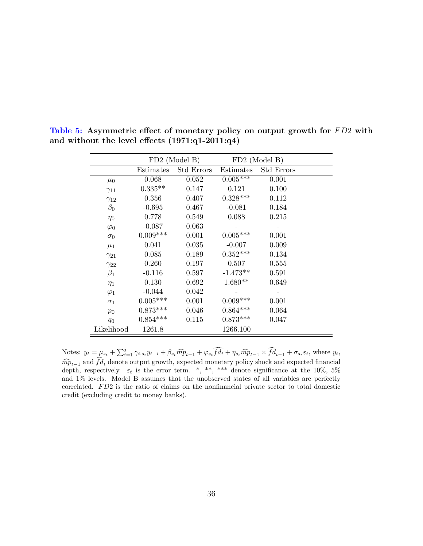|               |                 | FD2 (Model B) |            | FD2 (Model B)     |
|---------------|-----------------|---------------|------------|-------------------|
|               | Estimates       | Std Errors    | Estimates  | <b>Std Errors</b> |
| $\mu_0$       | 0.068           | 0.052         | $0.005***$ | 0.001             |
| $\gamma_{11}$ | $0.335**$       | 0.147         | 0.121      | 0.100             |
| $\gamma_{12}$ | 0.356           | 0.407         | $0.328***$ | 0.112             |
| $\beta_0$     | $-0.695$        | 0.467         | $-0.081$   | 0.184             |
| $\eta_0$      | 0.778           | 0.549         | 0.088      | 0.215             |
| $\varphi_0$   | $-0.087$        | 0.063         |            |                   |
| $\sigma_0$    | $0.009***$      | 0.001         | $0.005***$ | 0.001             |
| $\mu_1$       | 0.041           | 0.035         | $-0.007$   | 0.009             |
| $\gamma_{21}$ | 0.085           | 0.189         | $0.352***$ | 0.134             |
| $\gamma_{22}$ | 0.260           | 0.197         | 0.507      | 0.555             |
| $\beta_1$     | $-0.116$        | 0.597         | $-1.473**$ | 0.591             |
| $\eta_1$      | 0.130           | 0.692         | $1.680**$  | 0.649             |
| $\varphi_1$   | $-0.044$        | 0.042         |            |                   |
| $\sigma_1$    | $0.005^{***}\;$ | 0.001         | $0.009***$ | 0.001             |
| $p_0$         | $0.873***$      | 0.046         | $0.864***$ | 0.064             |
| $q_0$         | $0.854***$      | 0.115         | $0.873***$ | 0.047             |
| Likelihood    | 1261.8          |               | 1266.100   |                   |

Table 5: Asymmetric effect of monetary policy on output growth for FD2 with and without the level effects (1971:q1-2011:q4)

Notes:  $y_t = \mu_{s_t} + \sum_{i=1}^j \gamma_{i,s_t} y_{t-i} + \beta_{s_t} \widehat{m} \widehat{p}_{t-1} + \varphi_{s_t} \widehat{f} \widehat{d}_t + \eta_{s_t} \widehat{m} \widehat{p}_{t-1} \times \widehat{f} \widehat{d}_{t-1} + \sigma_{s_t} \varepsilon_t$ , where  $y_t$ ,  $\widehat{mp}_{t-1}$  and  $fd_t$  denote output growth, expected monetary policy shock and expected financial depth, respectively.  $\varepsilon_t$  is the error term. \*, \*\*, \*\*\* denote significance at the 10%, 5% and 1% levels. Model B assumes that the unobserved states of all variables are perfectly correlated.  $FD2$  is the ratio of claims on the nonfinancial private sector to total domestic credit (excluding credit to money banks).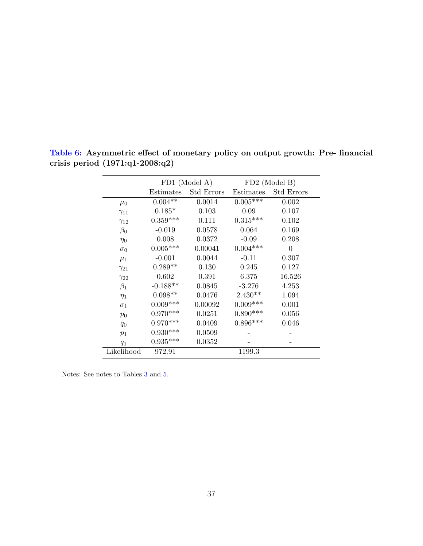|               |            | FD1 (Model A)     | FD2 (Model B) |                   |  |
|---------------|------------|-------------------|---------------|-------------------|--|
|               | Estimates  | <b>Std Errors</b> | Estimates     | <b>Std Errors</b> |  |
| $\mu_0$       | $0.004**$  | 0.0014            | $0.005***$    | 0.002             |  |
| $\gamma_{11}$ | $0.185*$   | 0.103             | 0.09          | 0.107             |  |
| $\gamma_{12}$ | $0.359***$ | 0.111             | $0.315***$    | 0.102             |  |
| $\beta_0$     | $-0.019$   | 0.0578            | 0.064         | 0.169             |  |
| $\eta_0$      | 0.008      | 0.0372            | $-0.09$       | 0.208             |  |
| $\sigma_0$    | $0.005***$ | 0.00041           | $0.004***$    | $\overline{0}$    |  |
| $\mu_1$       | $-0.001$   | 0.0044            | $-0.11$       | 0.307             |  |
| $\gamma_{21}$ | $0.289**$  | 0.130             | 0.245         | 0.127             |  |
| $\gamma_{22}$ | 0.602      | 0.391             | 6.375         | 16.526            |  |
| $\beta_1$     | $-0.188**$ | 0.0845            | $-3.276$      | 4.253             |  |
| $\eta_1$      | $0.098**$  | 0.0476            | $2.430**$     | 1.094             |  |
| $\sigma_1$    | $0.009***$ | 0.00092           | $0.009***$    | 0.001             |  |
| $p_0$         | $0.970***$ | 0.0251            | $0.890***$    | 0.056             |  |
| $q_0$         | $0.970***$ | 0.0409            | $0.896***$    | 0.046             |  |
| $p_1$         | $0.930***$ | 0.0509            |               |                   |  |
| $q_1$         | $0.935***$ | 0.0352            |               |                   |  |
| Likelihood    | 972.91     |                   | 1199.3        |                   |  |

Table 6: Asymmetric effect of monetary policy on output growth: Pre- financial crisis period (1971:q1-2008:q2)

Notes: See notes to Tables 3 and 5.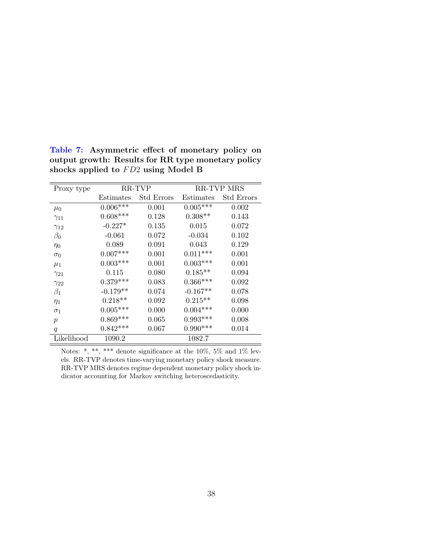| Proxy type       |            | <b>RR-TVP MRS</b><br>RR-TVP<br>Std Errors<br>Estimates<br>$0.005***$<br>0.001<br>0.002<br>$0.308**$<br>0.128<br>0.143<br>0.135<br>0.015<br>0.072 |            |            |  |
|------------------|------------|--------------------------------------------------------------------------------------------------------------------------------------------------|------------|------------|--|
|                  | Estimates  |                                                                                                                                                  |            | Std Errors |  |
| $\mu_0$          | $0.006***$ |                                                                                                                                                  |            |            |  |
| $\gamma_{11}$    | $0.608***$ |                                                                                                                                                  |            |            |  |
| $\gamma_{12}$    | $-0.227*$  |                                                                                                                                                  |            |            |  |
| $\beta_0$        | $-0.061$   | 0.072                                                                                                                                            | $-0.034$   | 0.102      |  |
| $\eta_0$         | 0.089      | 0.091                                                                                                                                            | 0.043      | 0.129      |  |
| $\sigma_0$       | $0.007***$ | 0.001                                                                                                                                            | $0.011***$ | 0.001      |  |
| $\mu_1$          | $0.003***$ | 0.001                                                                                                                                            | $0.003***$ | 0.001      |  |
| $\gamma_{21}$    | 0.115      | 0.080                                                                                                                                            | $0.185**$  | 0.094      |  |
| $\gamma_{22}$    | $0.379***$ | 0.083                                                                                                                                            | $0.366***$ | 0.092      |  |
| $\beta_1$        | $-0.179**$ | 0.074                                                                                                                                            | $-0.167**$ | 0.078      |  |
| $\eta_1$         | $0.218**$  | 0.092                                                                                                                                            | $0.215**$  | 0.098      |  |
| $\sigma_1$       | $0.005***$ | 0.000                                                                                                                                            | $0.004***$ | 0.000      |  |
| $\boldsymbol{p}$ | $0.869***$ | 0.065                                                                                                                                            | $0.993***$ | 0.008      |  |
| q                | $0.842***$ | 0.067                                                                                                                                            | $0.990***$ | 0.014      |  |
| Likelihood       | 1090.2     |                                                                                                                                                  | 1082.7     |            |  |

Table 7: Asymmetric effect of monetary policy on output growth: Results for RR type monetary policy shocks applied to  $FD2$  using Model B

Notes: \*, \*\*, \*\*\* denote significance at the 10%, 5% and 1% levels. RR-TVP denotes time-varying monetary policy shock measure. RR-TVP MRS denotes regime dependent monetary policy shock indicator accounting for Markov switching heteroscedasticity.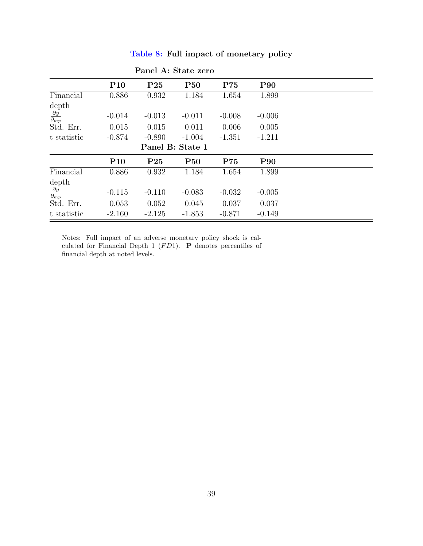|                                    |                 | Panel A: State zero |                  |          |            |  |
|------------------------------------|-----------------|---------------------|------------------|----------|------------|--|
|                                    | P <sub>10</sub> | P <sub>25</sub>     | <b>P50</b>       | P75      | <b>P90</b> |  |
| Financial                          | 0.886           | 0.932               | 1.184            | 1.654    | 1.899      |  |
| depth                              |                 |                     |                  |          |            |  |
| $\frac{\partial y}{\partial_{mp}}$ | $-0.014$        | $-0.013$            | $-0.011$         | $-0.008$ | $-0.006$   |  |
| Std. Err.                          | 0.015           | 0.015               | 0.011            | 0.006    | 0.005      |  |
| t statistic                        | $-0.874$        | $-0.890$            | $-1.004$         | $-1.351$ | $-1.211$   |  |
|                                    |                 |                     | Panel B: State 1 |          |            |  |
|                                    | P <sub>10</sub> | P <sub>25</sub>     | <b>P50</b>       | P75      | <b>P90</b> |  |
| Financial                          | 0.886           | 0.932               | 1.184            | 1.654    | 1.899      |  |
| depth                              |                 |                     |                  |          |            |  |
| $\frac{\partial y}{\partial_{mp}}$ | $-0.115$        | $-0.110$            | $-0.083$         | $-0.032$ | $-0.005$   |  |
| Std. Err.                          | 0.053           | 0.052               | 0.045            | 0.037    | 0.037      |  |
| t statistic                        | $-2.160$        | $-2.125$            | $-1.853$         | $-0.871$ | $-0.149$   |  |

Table 8: Full impact of monetary policy

Notes: Full impact of an adverse monetary policy shock is calculated for Financial Depth 1  $(FD1)$ . **P** denotes percentiles of financial depth at noted levels.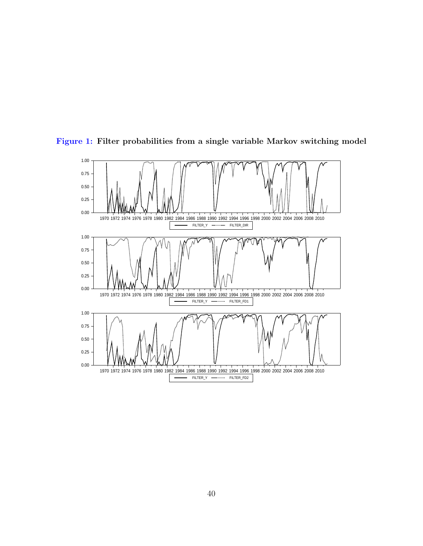

Figure 1: Filter probabilities from a single variable Markov switching model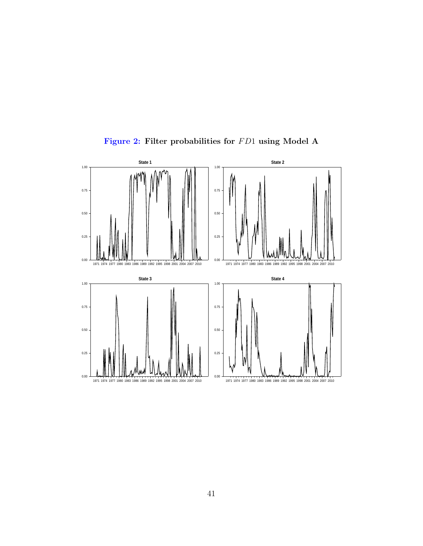

Figure 2: Filter probabilities for  $FD1$  using Model A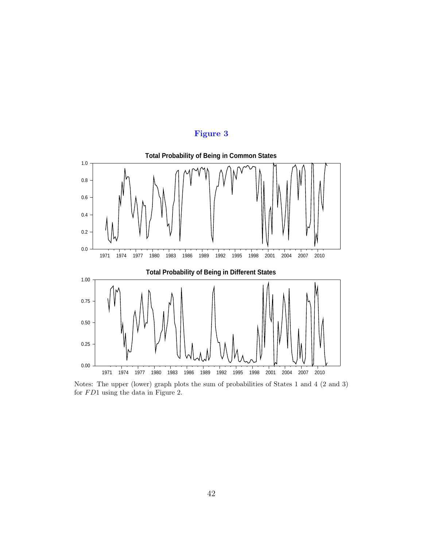



Notes: The upper (lower) graph plots the sum of probabilities of States 1 and 4 (2 and 3) for  $FD1$  using the data in Figure 2.